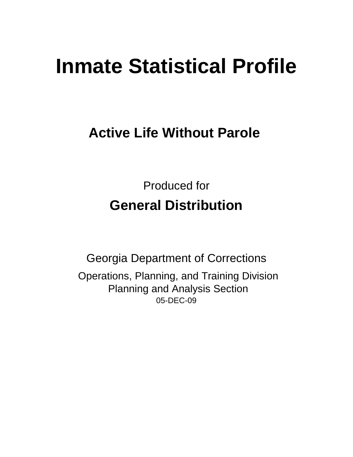# **Inmate Statistical Profile**

# **Active Life Without Parole**

Produced for **General Distribution**

05-DEC-09 Georgia Department of Corrections Operations, Planning, and Training Division Planning and Analysis Section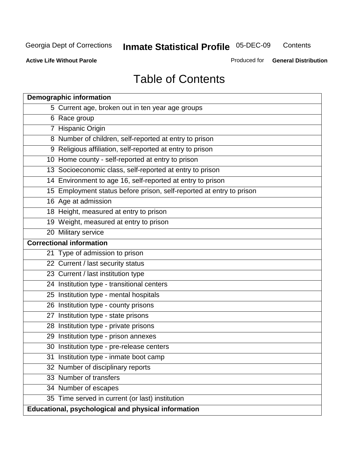**Contents** 

**Active Life Without Parole** 

Produced for **General Distribution**

# Table of Contents

|    | <b>Demographic information</b>                                       |
|----|----------------------------------------------------------------------|
|    | 5 Current age, broken out in ten year age groups                     |
|    | 6 Race group                                                         |
|    | 7 Hispanic Origin                                                    |
|    | 8 Number of children, self-reported at entry to prison               |
|    | 9 Religious affiliation, self-reported at entry to prison            |
|    | 10 Home county - self-reported at entry to prison                    |
|    | 13 Socioeconomic class, self-reported at entry to prison             |
|    | 14 Environment to age 16, self-reported at entry to prison           |
|    | 15 Employment status before prison, self-reported at entry to prison |
|    | 16 Age at admission                                                  |
|    | 18 Height, measured at entry to prison                               |
|    | 19 Weight, measured at entry to prison                               |
|    | 20 Military service                                                  |
|    | <b>Correctional information</b>                                      |
|    | 21 Type of admission to prison                                       |
|    | 22 Current / last security status                                    |
|    | 23 Current / last institution type                                   |
|    | 24 Institution type - transitional centers                           |
|    | 25 Institution type - mental hospitals                               |
|    | 26 Institution type - county prisons                                 |
| 27 | Institution type - state prisons                                     |
|    | 28 Institution type - private prisons                                |
|    | 29 Institution type - prison annexes                                 |
|    | 30 Institution type - pre-release centers                            |
| 31 | Institution type - inmate boot camp                                  |
|    | 32 Number of disciplinary reports                                    |
|    | 33 Number of transfers                                               |
|    | 34 Number of escapes                                                 |
|    | 35 Time served in current (or last) institution                      |
|    | Educational, psychological and physical information                  |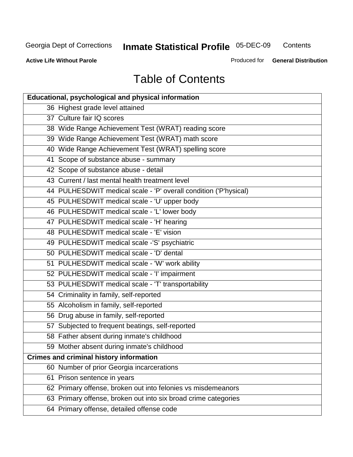**Contents** 

**Active Life Without Parole** 

Produced for **General Distribution**

# Table of Contents

| <b>Educational, psychological and physical information</b>       |
|------------------------------------------------------------------|
| 36 Highest grade level attained                                  |
| 37 Culture fair IQ scores                                        |
| 38 Wide Range Achievement Test (WRAT) reading score              |
| 39 Wide Range Achievement Test (WRAT) math score                 |
| 40 Wide Range Achievement Test (WRAT) spelling score             |
| 41 Scope of substance abuse - summary                            |
| 42 Scope of substance abuse - detail                             |
| 43 Current / last mental health treatment level                  |
| 44 PULHESDWIT medical scale - 'P' overall condition ('P'hysical) |
| 45 PULHESDWIT medical scale - 'U' upper body                     |
| 46 PULHESDWIT medical scale - 'L' lower body                     |
| 47 PULHESDWIT medical scale - 'H' hearing                        |
| 48 PULHESDWIT medical scale - 'E' vision                         |
| 49 PULHESDWIT medical scale -'S' psychiatric                     |
| 50 PULHESDWIT medical scale - 'D' dental                         |
| 51 PULHESDWIT medical scale - 'W' work ability                   |
| 52 PULHESDWIT medical scale - 'I' impairment                     |
| 53 PULHESDWIT medical scale - 'T' transportability               |
| 54 Criminality in family, self-reported                          |
| 55 Alcoholism in family, self-reported                           |
| 56 Drug abuse in family, self-reported                           |
| 57 Subjected to frequent beatings, self-reported                 |
| 58 Father absent during inmate's childhood                       |
| 59 Mother absent during inmate's childhood                       |
| <b>Crimes and criminal history information</b>                   |
| 60 Number of prior Georgia incarcerations                        |
| Prison sentence in years<br>61                                   |
| 62 Primary offense, broken out into felonies vs misdemeanors     |
| 63 Primary offense, broken out into six broad crime categories   |
| 64 Primary offense, detailed offense code                        |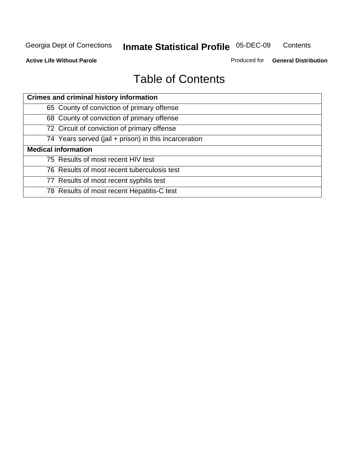**Contents** 

**Active Life Without Parole** 

Produced for **General Distribution**

# Table of Contents

| <b>Crimes and criminal history information</b>        |
|-------------------------------------------------------|
| 65 County of conviction of primary offense            |
| 68 County of conviction of primary offense            |
| 72 Circuit of conviction of primary offense           |
| 74 Years served (jail + prison) in this incarceration |
| <b>Medical information</b>                            |
| 75 Results of most recent HIV test                    |
| 76 Results of most recent tuberculosis test           |
| 77 Results of most recent syphilis test               |
| 78 Results of most recent Hepatitis-C test            |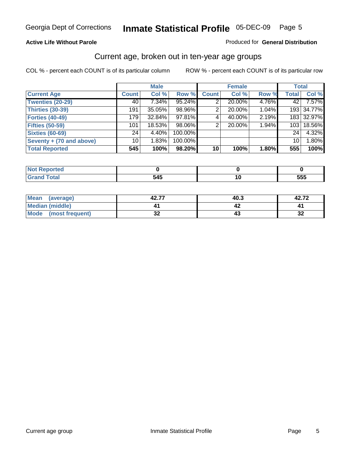#### **Active Life Without Parole**

#### Produced for **General Distribution**

### Current age, broken out in ten-year age groups

|                          |              | <b>Male</b> |         |                 | <b>Female</b> |       | <b>Total</b>    |            |
|--------------------------|--------------|-------------|---------|-----------------|---------------|-------|-----------------|------------|
| <b>Current Age</b>       | <b>Count</b> | Col %       | Row %   | <b>Count</b>    | Col %         | Row % | <b>Total</b>    | Col %      |
| <b>Twenties (20-29)</b>  | 40           | $7.34\%$    | 95.24%  |                 | 20.00%        | 4.76% | 42              | 7.57%      |
| <b>Thirties (30-39)</b>  | 191          | $35.05\%$   | 98.96%  | 2               | 20.00%        | 1.04% |                 | 193 34.77% |
| <b>Forties (40-49)</b>   | 179          | 32.84%      | 97.81%  | $\sim$          | 40.00%        | 2.19% |                 | 183 32.97% |
| <b>Fifties (50-59)</b>   | 101          | 18.53%      | 98.06%  | 2               | 20.00%        | 1.94% | 103             | 18.56%     |
| <b>Sixties (60-69)</b>   | 24           | 4.40%       | 100.00% |                 |               |       | 24              | 4.32%      |
| Seventy + (70 and above) | 10           | 1.83%       | 100.00% |                 |               |       | 10 <sup>1</sup> | 1.80%      |
| <b>Total Reported</b>    | 545          | 100%        | 98.20%  | 10 <sup>1</sup> | 100%          | 1.80% | 555             | 100%       |

| <b>NOT Reported</b> |       |     |
|---------------------|-------|-----|
| $rac{1}{2}$         | - - - | --- |
| $\sim$              | 54.   | ວວະ |

| <b>Mean</b><br>(average)       | יים מ<br>42.I | 40.3 | ィヘ フヘ<br>42.IZ |
|--------------------------------|---------------|------|----------------|
| <b>Median (middle)</b>         |               |      |                |
| <b>Mode</b><br>(most frequent) | 00<br>JZ      | 4.   | €              |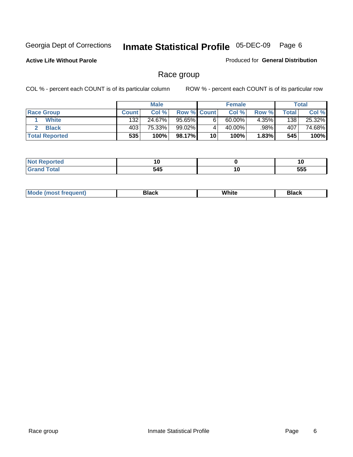**Active Life Without Parole** 

Produced for **General Distribution**

### Race group

|                       |              | <b>Male</b> |                    |    | <b>Female</b> |          |       | <b>Total</b> |
|-----------------------|--------------|-------------|--------------------|----|---------------|----------|-------|--------------|
| <b>Race Group</b>     | <b>Count</b> | Col %       | <b>Row % Count</b> |    | Col %         | Row %    | Total | Col %        |
| <b>White</b>          | 132          | 24.67%      | $95.65\%$          | 6  | 60.00%        | $4.35\%$ | 138   | 25.32%       |
| <b>Black</b>          | 403          | 75.33%      | 99.02%             |    | 40.00%        | .98%     | 407   | 74.68%       |
| <b>Total Reported</b> | 535          | 100%        | 98.17%             | 10 | 100%          | 1.83%    | 545   | 100%         |

| ™rteu<br>. | ١U       |                      |     |
|------------|----------|----------------------|-----|
|            | -<br>545 | 1 U<br>$\sim$ $\sim$ | 555 |

| $^1$ Mo. | Rlack | White | 3lack |
|----------|-------|-------|-------|
| .        |       |       |       |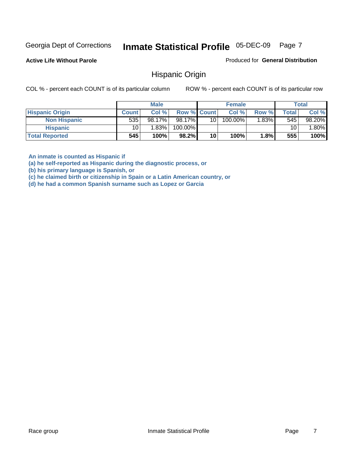**Active Life Without Parole** 

Produced for **General Distribution**

### Hispanic Origin

COL % - percent each COUNT is of its particular column ROW % - percent each COUNT is of its particular row

|                        |                 | <b>Male</b> |                    |                 | <b>Female</b> |       |       | <b>Total</b> |
|------------------------|-----------------|-------------|--------------------|-----------------|---------------|-------|-------|--------------|
| <b>Hispanic Origin</b> | <b>Count</b>    | Col %       | <b>Row % Count</b> |                 | Col %         | Row % | Total | Col %        |
| <b>Non Hispanic</b>    | 535             | 98.17%      | 98.17%             | 10 <sup>1</sup> | 100.00%       | 1.83% | 545   | 98.20%       |
| <b>Hispanic</b>        | 10 <sub>1</sub> | 1.83%       | 100.00%            |                 |               |       | 10    | $.80\%$      |
| <b>Total Reported</b>  | 545             | 100%        | 98.2%              | 10              | 100%          | 1.8%  | 555   | 100%         |

**An inmate is counted as Hispanic if** 

**(a) he self-reported as Hispanic during the diagnostic process, or** 

**(b) his primary language is Spanish, or** 

**(c) he claimed birth or citizenship in Spain or a Latin American country, or** 

**(d) he had a common Spanish surname such as Lopez or Garcia**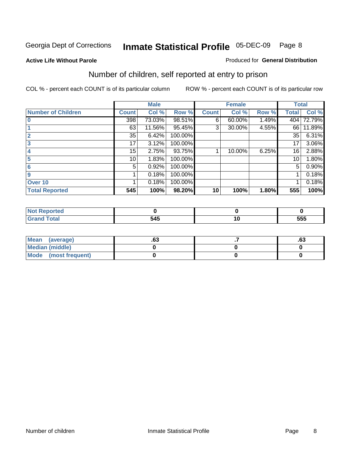#### **Active Life Without Parole**

#### Produced for **General Distribution**

### Number of children, self reported at entry to prison

|                           |              | <b>Male</b> |         |              | <b>Female</b> |       | <b>Total</b> |          |
|---------------------------|--------------|-------------|---------|--------------|---------------|-------|--------------|----------|
| <b>Number of Children</b> | <b>Count</b> | Col %       | Row %   | <b>Count</b> | Col %         | Row % | <b>Total</b> | Col %    |
| $\overline{0}$            | 398          | 73.03%      | 98.51%  | 6            | 60.00%        | 1.49% | 404          | 72.79%   |
|                           | 63           | 11.56%      | 95.45%  | 3            | 30.00%        | 4.55% | 66           | 11.89%   |
| $\overline{2}$            | 35           | 6.42%       | 100.00% |              |               |       | 35           | 6.31%    |
| 3                         | 17           | 3.12%       | 100.00% |              |               |       | 17           | $3.06\%$ |
| 4                         | 15           | 2.75%       | 93.75%  |              | 10.00%        | 6.25% | 16           | 2.88%    |
| 5                         | 10           | 1.83%       | 100.00% |              |               |       | 10           | $1.80\%$ |
| 6                         | 5            | 0.92%       | 100.00% |              |               |       | 5            | 0.90%    |
| 9                         |              | 0.18%       | 100.00% |              |               |       |              | 0.18%    |
| Over 10                   |              | 0.18%       | 100.00% |              |               |       |              | 0.18%    |
| <b>Total Reported</b>     | 545          | 100%        | 98.20%  | 10           | 100%          | 1.80% | 555          | 100%     |

| <b>The Country of Country Country</b><br>vrreo |     |        |     |
|------------------------------------------------|-----|--------|-----|
|                                                | 545 | $\sim$ | 555 |

| Mean (average)       | ~~<br>.o. | ^^<br>.ס. |
|----------------------|-----------|-----------|
| Median (middle)      |           |           |
| Mode (most frequent) |           |           |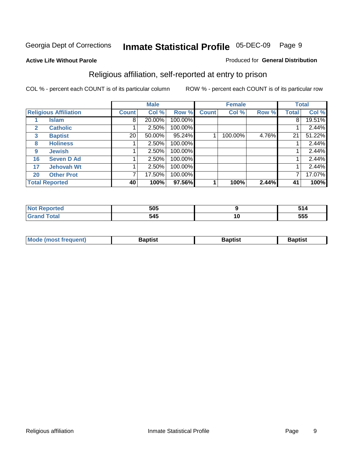#### **Active Life Without Parole**

#### Produced for **General Distribution**

### Religious affiliation, self-reported at entry to prison

|              |                              |              | <b>Male</b> |           |              | <b>Female</b> |       |              | <b>Total</b> |
|--------------|------------------------------|--------------|-------------|-----------|--------------|---------------|-------|--------------|--------------|
|              | <b>Religious Affiliation</b> | <b>Count</b> | Col %       | Row %     | <b>Count</b> | Col %         | Row % | <b>Total</b> | Col %        |
|              | Islam                        | 8            | 20.00%      | 100.00%   |              |               |       | 8            | 19.51%       |
| $\mathbf{2}$ | <b>Catholic</b>              |              | 2.50%       | 100.00%   |              |               |       |              | 2.44%        |
| 3            | <b>Baptist</b>               | 20           | 50.00%      | $95.24\%$ |              | 100.00%       | 4.76% | 21           | 51.22%       |
| 8            | <b>Holiness</b>              |              | 2.50%       | 100.00%   |              |               |       |              | 2.44%        |
| 9            | <b>Jewish</b>                |              | 2.50%       | 100.00%   |              |               |       |              | 2.44%        |
| 16           | <b>Seven D Ad</b>            |              | 2.50%       | 100.00%   |              |               |       |              | 2.44%        |
| 17           | <b>Jehovah Wt</b>            |              | 2.50%       | 100.00%   |              |               |       |              | 2.44%        |
| 20           | <b>Other Prot</b>            |              | 17.50%      | 100.00%   |              |               |       | 7            | 17.07%       |
|              | <b>Total Reported</b>        | 40           | 100%        | 97.56%    |              | 100%          | 2.44% | 41           | 100%         |

| лието | 505 |    | - - - |
|-------|-----|----|-------|
|       | 545 | 10 | 555   |

| <b>Mode (most frequent)</b> | <b>Baptist</b> | 3aptist | Baptist |
|-----------------------------|----------------|---------|---------|
|                             |                |         |         |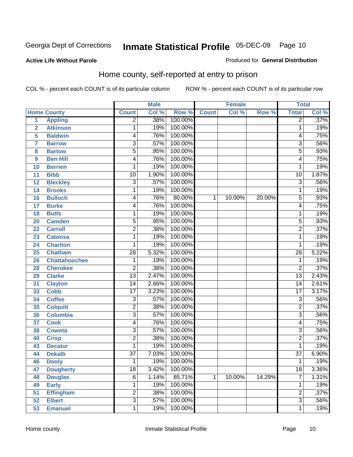#### **Active Life Without Parole**

#### Produced for **General Distribution**

### Home county, self-reported at entry to prison

|                |                      |                         | <b>Male</b> |         |              | <b>Female</b> |        | <b>Total</b>    |       |
|----------------|----------------------|-------------------------|-------------|---------|--------------|---------------|--------|-----------------|-------|
|                | <b>Home County</b>   | <b>Count</b>            | Col %       | Row %   | <b>Count</b> | Col %         | Row %  | <b>Total</b>    | Col % |
| 1              | <b>Appling</b>       | $\overline{2}$          | .38%        | 100.00% |              |               |        | $\overline{2}$  | .37%  |
| $\overline{2}$ | <b>Atkinson</b>      | 1                       | .19%        | 100.00% |              |               |        | 1               | .19%  |
| 5              | <b>Baldwin</b>       | 4                       | .76%        | 100.00% |              |               |        | 4               | .75%  |
| $\overline{7}$ | <b>Barrow</b>        | $\overline{3}$          | .57%        | 100.00% |              |               |        | $\overline{3}$  | .56%  |
| 8              | <b>Bartow</b>        | $\overline{5}$          | .95%        | 100.00% |              |               |        | $\overline{5}$  | .93%  |
| 9              | <b>Ben Hill</b>      | 4                       | .76%        | 100.00% |              |               |        | 4               | .75%  |
| 10             | <b>Berrien</b>       | 1                       | .19%        | 100.00% |              |               |        | 1               | .19%  |
| 11             | <b>Bibb</b>          | 10                      | 1.90%       | 100.00% |              |               |        | 10              | 1.87% |
| 12             | <b>Bleckley</b>      | $\overline{3}$          | .57%        | 100.00% |              |               |        | $\overline{3}$  | .56%  |
| 14             | <b>Brooks</b>        | 1                       | .19%        | 100.00% |              |               |        | 1               | .19%  |
| 16             | <b>Bulloch</b>       | 4                       | .76%        | 80.00%  | 1            | 10.00%        | 20.00% | $\overline{5}$  | .93%  |
| 17             | <b>Burke</b>         | 4                       | .76%        | 100.00% |              |               |        | 4               | .75%  |
| 18             | <b>Butts</b>         | 1                       | .19%        | 100.00% |              |               |        | 1               | .19%  |
| 20             | <b>Camden</b>        | 5                       | .95%        | 100.00% |              |               |        | $\overline{5}$  | .93%  |
| 22             | <b>Carroll</b>       | $\overline{2}$          | .38%        | 100.00% |              |               |        | $\overline{2}$  | .37%  |
| 23             | <b>Catoosa</b>       | 1                       | .19%        | 100.00% |              |               |        | 1               | .19%  |
| 24             | <b>Charlton</b>      | 1                       | .19%        | 100.00% |              |               |        | 1               | .19%  |
| 25             | <b>Chatham</b>       | $\overline{28}$         | 5.32%       | 100.00% |              |               |        | $\overline{28}$ | 5.22% |
| 26             | <b>Chattahoochee</b> | 1                       | .19%        | 100.00% |              |               |        | 1               | .19%  |
| 28             | <b>Cherokee</b>      | $\overline{2}$          | .38%        | 100.00% |              |               |        | $\overline{2}$  | .37%  |
| 29             | <b>Clarke</b>        | $\overline{13}$         | 2.47%       | 100.00% |              |               |        | $\overline{13}$ | 2.43% |
| 31             | <b>Clayton</b>       | 14                      | 2.66%       | 100.00% |              |               |        | $\overline{14}$ | 2.61% |
| 33             | <b>Cobb</b>          | $\overline{17}$         | 3.23%       | 100.00% |              |               |        | $\overline{17}$ | 3.17% |
| 34             | <b>Coffee</b>        | 3                       | .57%        | 100.00% |              |               |        | 3               | .56%  |
| 35             | <b>Colquitt</b>      | $\overline{\mathbf{c}}$ | .38%        | 100.00% |              |               |        | $\overline{2}$  | .37%  |
| 36             | <b>Columbia</b>      | $\overline{3}$          | .57%        | 100.00% |              |               |        | $\overline{3}$  | .56%  |
| 37             | <b>Cook</b>          | 4                       | .76%        | 100.00% |              |               |        | 4               | .75%  |
| 38             | <b>Coweta</b>        | $\overline{3}$          | .57%        | 100.00% |              |               |        | $\overline{3}$  | .56%  |
| 40             | <b>Crisp</b>         | $\overline{2}$          | .38%        | 100.00% |              |               |        | $\overline{2}$  | .37%  |
| 43             | <b>Decatur</b>       | 1                       | .19%        | 100.00% |              |               |        | 1               | .19%  |
| 44             | <b>Dekalb</b>        | $\overline{37}$         | 7.03%       | 100.00% |              |               |        | $\overline{37}$ | 6.90% |
| 46             | <b>Dooly</b>         | 1                       | .19%        | 100.00% |              |               |        | 1               | .19%  |
| 47             | <b>Dougherty</b>     | $\overline{18}$         | 3.42%       | 100.00% |              |               |        | $\overline{18}$ | 3.36% |
| 48             | <b>Douglas</b>       | 6                       | 1.14%       | 85.71%  | $\mathbf 1$  | 10.00%        | 14.29% | $\overline{7}$  | 1.31% |
| 49             | <b>Early</b>         | 1                       | .19%        | 100.00% |              |               |        | 1               | .19%  |
| 51             | <b>Effingham</b>     | 2                       | .38%        | 100.00% |              |               |        | $\overline{2}$  | .37%  |
| 52             | <b>Elbert</b>        | $\overline{3}$          | .57%        | 100.00% |              |               |        | $\overline{3}$  | .56%  |
| 53             | <b>Emanuel</b>       | 1                       | .19%        | 100.00% |              |               |        | 1               | .19%  |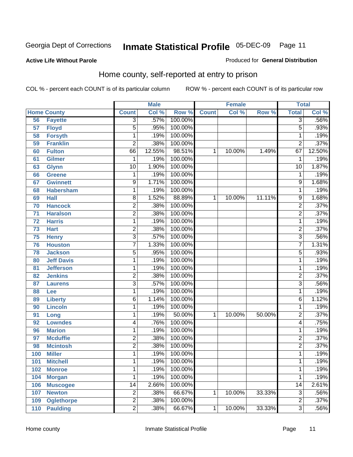#### **Active Life Without Parole**

#### Produced for **General Distribution**

### Home county, self-reported at entry to prison

|     |                    |                         | <b>Male</b> |         |              | <b>Female</b> |        | <b>Total</b>    |        |
|-----|--------------------|-------------------------|-------------|---------|--------------|---------------|--------|-----------------|--------|
|     | <b>Home County</b> | <b>Count</b>            | Col %       | Row %   | <b>Count</b> | Col %         | Row %  | <b>Total</b>    | Col %  |
| 56  | <b>Fayette</b>     | $\overline{3}$          | .57%        | 100.00% |              |               |        | $\overline{3}$  | .56%   |
| 57  | <b>Floyd</b>       | $\overline{5}$          | .95%        | 100.00% |              |               |        | 5               | .93%   |
| 58  | <b>Forsyth</b>     | $\mathbf 1$             | .19%        | 100.00% |              |               |        | 1               | .19%   |
| 59  | <b>Franklin</b>    | $\overline{2}$          | .38%        | 100.00% |              |               |        | $\overline{2}$  | .37%   |
| 60  | <b>Fulton</b>      | 66                      | 12.55%      | 98.51%  | 1            | 10.00%        | 1.49%  | 67              | 12.50% |
| 61  | <b>Gilmer</b>      | $\mathbf{1}$            | .19%        | 100.00% |              |               |        | 1               | .19%   |
| 63  | <b>Glynn</b>       | $\overline{10}$         | 1.90%       | 100.00% |              |               |        | $\overline{10}$ | 1.87%  |
| 66  | <b>Greene</b>      | 1                       | .19%        | 100.00% |              |               |        | 1               | .19%   |
| 67  | <b>Gwinnett</b>    | 9                       | 1.71%       | 100.00% |              |               |        | 9               | 1.68%  |
| 68  | <b>Habersham</b>   | $\mathbf 1$             | .19%        | 100.00% |              |               |        | 1               | .19%   |
| 69  | <b>Hall</b>        | 8                       | 1.52%       | 88.89%  | 1            | 10.00%        | 11.11% | $\overline{9}$  | 1.68%  |
| 70  | <b>Hancock</b>     | $\overline{2}$          | .38%        | 100.00% |              |               |        | 2               | .37%   |
| 71  | <b>Haralson</b>    | $\overline{2}$          | .38%        | 100.00% |              |               |        | $\overline{2}$  | .37%   |
| 72  | <b>Harris</b>      | $\mathbf 1$             | .19%        | 100.00% |              |               |        | 1               | .19%   |
| 73  | <b>Hart</b>        | $\overline{2}$          | .38%        | 100.00% |              |               |        | $\overline{2}$  | .37%   |
| 75  | <b>Henry</b>       | $\overline{3}$          | .57%        | 100.00% |              |               |        | 3               | .56%   |
| 76  | <b>Houston</b>     | $\overline{7}$          | 1.33%       | 100.00% |              |               |        | 7               | 1.31%  |
| 78  | <b>Jackson</b>     | 5                       | .95%        | 100.00% |              |               |        | 5               | .93%   |
| 80  | <b>Jeff Davis</b>  | $\mathbf 1$             | .19%        | 100.00% |              |               |        | 1               | .19%   |
| 81  | <b>Jefferson</b>   | $\mathbf 1$             | .19%        | 100.00% |              |               |        | 1               | .19%   |
| 82  | <b>Jenkins</b>     | $\overline{2}$          | .38%        | 100.00% |              |               |        | 2               | .37%   |
| 87  | <b>Laurens</b>     | $\overline{3}$          | .57%        | 100.00% |              |               |        | 3               | .56%   |
| 88  | Lee                | $\mathbf{1}$            | .19%        | 100.00% |              |               |        | 1               | .19%   |
| 89  | <b>Liberty</b>     | 6                       | 1.14%       | 100.00% |              |               |        | 6               | 1.12%  |
| 90  | <b>Lincoln</b>     | $\mathbf{1}$            | .19%        | 100.00% |              |               |        | 1               | .19%   |
| 91  | Long               | 1                       | .19%        | 50.00%  | 1            | 10.00%        | 50.00% | $\overline{2}$  | .37%   |
| 92  | <b>Lowndes</b>     | 4                       | .76%        | 100.00% |              |               |        | 4               | .75%   |
| 96  | <b>Marion</b>      | $\mathbf 1$             | .19%        | 100.00% |              |               |        | 1               | .19%   |
| 97  | <b>Mcduffie</b>    | $\overline{2}$          | .38%        | 100.00% |              |               |        | 2               | .37%   |
| 98  | <b>Mcintosh</b>    | $\overline{2}$          | .38%        | 100.00% |              |               |        | $\overline{2}$  | .37%   |
| 100 | <b>Miller</b>      | 1                       | .19%        | 100.00% |              |               |        | 1               | .19%   |
| 101 | <b>Mitchell</b>    | 1                       | .19%        | 100.00% |              |               |        | 1               | .19%   |
| 102 | <b>Monroe</b>      | $\mathbf{1}$            | .19%        | 100.00% |              |               |        | 1               | .19%   |
| 104 | <b>Morgan</b>      | 1                       | .19%        | 100.00% |              |               |        | 1               | .19%   |
| 106 | <b>Muscogee</b>    | $\overline{14}$         | 2.66%       | 100.00% |              |               |        | $\overline{14}$ | 2.61%  |
| 107 | <b>Newton</b>      | $\overline{\mathbf{c}}$ | .38%        | 66.67%  | 1            | 10.00%        | 33.33% | 3               | .56%   |
| 109 | <b>Oglethorpe</b>  | $\overline{2}$          | .38%        | 100.00% |              |               |        | $\overline{2}$  | .37%   |
| 110 | <b>Paulding</b>    | $\overline{2}$          | .38%        | 66.67%  | $\mathbf 1$  | 10.00%        | 33.33% | $\overline{3}$  | .56%   |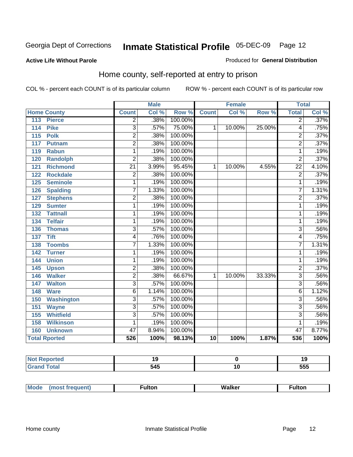#### **Active Life Without Parole**

#### Produced for **General Distribution**

### Home county, self-reported at entry to prison

|                          |                 | <b>Male</b> |         |              | <b>Female</b> |        | <b>Total</b>    |       |
|--------------------------|-----------------|-------------|---------|--------------|---------------|--------|-----------------|-------|
| <b>Home County</b>       | <b>Count</b>    | Col %       | Row %   | <b>Count</b> | Col %         | Row %  | <b>Total</b>    | CoI%  |
| 113<br><b>Pierce</b>     | $\overline{2}$  | .38%        | 100.00% |              |               |        | $\overline{2}$  | .37%  |
| <b>Pike</b><br>114       | $\overline{3}$  | .57%        | 75.00%  | 1            | 10.00%        | 25.00% | 4               | .75%  |
| 115<br><b>Polk</b>       | $\overline{2}$  | .38%        | 100.00% |              |               |        | 2               | .37%  |
| 117<br><b>Putnam</b>     | $\overline{2}$  | .38%        | 100.00% |              |               |        | $\overline{2}$  | .37%  |
| 119<br><b>Rabun</b>      | 1               | .19%        | 100.00% |              |               |        | 1               | .19%  |
| <b>Randolph</b><br>120   | $\overline{2}$  | .38%        | 100.00% |              |               |        | $\overline{2}$  | .37%  |
| <b>Richmond</b><br>121   | $\overline{21}$ | 3.99%       | 95.45%  | 1            | 10.00%        | 4.55%  | $\overline{22}$ | 4.10% |
| <b>Rockdale</b><br>122   | $\overline{2}$  | .38%        | 100.00% |              |               |        | $\overline{2}$  | .37%  |
| <b>Seminole</b><br>125   | 1               | .19%        | 100.00% |              |               |        | 1               | .19%  |
| <b>Spalding</b><br>126   | 7               | 1.33%       | 100.00% |              |               |        | 7               | 1.31% |
| <b>Stephens</b><br>127   | 2               | .38%        | 100.00% |              |               |        | $\overline{2}$  | .37%  |
| <b>Sumter</b><br>129     | 1               | .19%        | 100.00% |              |               |        | 1               | .19%  |
| 132<br><b>Tattnall</b>   | 1               | .19%        | 100.00% |              |               |        | 1               | .19%  |
| <b>Telfair</b><br>134    | 1               | .19%        | 100.00% |              |               |        | 1               | .19%  |
| <b>Thomas</b><br>136     | 3               | .57%        | 100.00% |              |               |        | $\overline{3}$  | .56%  |
| <b>Tift</b><br>137       | 4               | .76%        | 100.00% |              |               |        | 4               | .75%  |
| <b>Toombs</b><br>138     | $\overline{7}$  | 1.33%       | 100.00% |              |               |        | 7               | 1.31% |
| 142<br><b>Turner</b>     | 1               | .19%        | 100.00% |              |               |        | 1               | .19%  |
| <b>Union</b><br>144      | 1               | .19%        | 100.00% |              |               |        | 1               | .19%  |
| 145<br><b>Upson</b>      | 2               | .38%        | 100.00% |              |               |        | $\overline{2}$  | .37%  |
| <b>Walker</b><br>146     | $\overline{2}$  | .38%        | 66.67%  | 1            | 10.00%        | 33.33% | $\overline{3}$  | .56%  |
| <b>Walton</b><br>147     | $\overline{3}$  | .57%        | 100.00% |              |               |        | 3               | .56%  |
| 148<br><b>Ware</b>       | 6               | 1.14%       | 100.00% |              |               |        | 6               | 1.12% |
| 150<br><b>Washington</b> | 3               | .57%        | 100.00% |              |               |        | $\overline{3}$  | .56%  |
| 151<br><b>Wayne</b>      | $\overline{3}$  | .57%        | 100.00% |              |               |        | $\overline{3}$  | .56%  |
| <b>Whitfield</b><br>155  | 3               | .57%        | 100.00% |              |               |        | $\overline{3}$  | .56%  |
| <b>Wilkinson</b><br>158  | 1               | .19%        | 100.00% |              |               |        | 1               | .19%  |
| <b>Unknown</b><br>160    | $\overline{47}$ | 8.94%       | 100.00% |              |               |        | $\overline{47}$ | 8.77% |
| <b>Total Rported</b>     | 526             | 100%        | 98.13%  | 10           | 100%          | 1.87%  | 536             | 100%  |

| $mA = -$<br>Reported<br>. IV. |                  | 19         |
|-------------------------------|------------------|------------|
| $n+n$                         | ,<br>- 12<br>$-$ | ---<br>ჂჂჂ |

| Mou. | - -<br>.וסי | <b>Walker</b> | $\mathbf{H}$<br>τοι |
|------|-------------|---------------|---------------------|
|      |             |               |                     |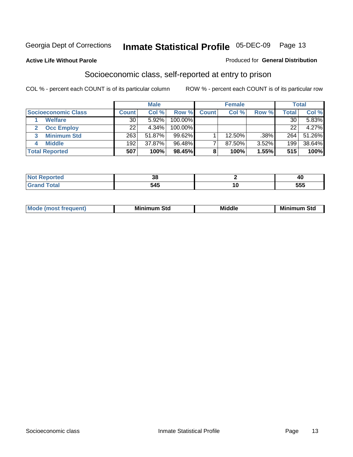#### **Active Life Without Parole**

#### Produced for **General Distribution**

### Socioeconomic class, self-reported at entry to prison

|                            |       | <b>Male</b> |            |              | <b>Female</b> |       |        | <b>Total</b> |
|----------------------------|-------|-------------|------------|--------------|---------------|-------|--------|--------------|
| <b>Socioeconomic Class</b> | Count | Col %       | Row %      | <b>Count</b> | Col %         | Row % | Total, | Col %        |
| <b>Welfare</b>             | 30    | 5.92%       | 100.00%    |              |               |       | 30     | 5.83%        |
| <b>Occ Employ</b>          | 22    | 4.34%       | $100.00\%$ |              |               |       | 22     | 4.27%        |
| <b>Minimum Std</b>         | 263   | 51.87%      | 99.62%     |              | 12.50%        | .38%  | 264    | 51.26%       |
| <b>Middle</b>              | 192   | 37.87%      | 96.48%     |              | 87.50%        | 3.52% | 199    | 38.64%       |
| <b>Total Reported</b>      | 507   | 100%        | 98.45%     |              | 100%          | 1.55% | 515    | 100%         |

|   | o c<br>აი | <b>46</b>   |
|---|-----------|-------------|
| - | 54F       | EEE<br>ີວວວ |

| M<br>Mir<br>Mil<br><b>Middle</b><br><b>C</b> ta<br>Sta<br>oτu<br>.<br>the contract of the contract of the contract of the contract of the contract of the contract of the contract of<br>- - - - |
|--------------------------------------------------------------------------------------------------------------------------------------------------------------------------------------------------|
|--------------------------------------------------------------------------------------------------------------------------------------------------------------------------------------------------|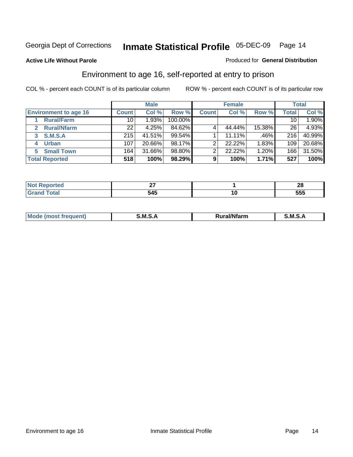**Active Life Without Parole** 

#### Produced for **General Distribution**

### Environment to age 16, self-reported at entry to prison

|                                    | <b>Male</b>     |        |         | <b>Female</b> |        |        | <b>Total</b> |        |
|------------------------------------|-----------------|--------|---------|---------------|--------|--------|--------------|--------|
| <b>Environment to age 16</b>       | <b>Count</b>    | Col %  | Row %   | <b>Count</b>  | Col %  | Row %  | <b>Total</b> | Col %  |
| <b>Rural/Farm</b>                  | 10              | 1.93%  | 100.00% |               |        |        | 10           | 1.90%  |
| <b>Rural/Nfarm</b><br>$\mathbf{2}$ | 22 <sub>1</sub> | 4.25%  | 84.62%  |               | 44.44% | 15.38% | 26           | 4.93%  |
| <b>S.M.S.A</b><br>3                | 215             | 41.51% | 99.54%  |               | 11.11% | .46%   | 216          | 40.99% |
| <b>Urban</b><br>4                  | 107             | 20.66% | 98.17%  | っ             | 22.22% | 1.83%  | 109          | 20.68% |
| <b>Small Town</b><br>5             | 164             | 31.66% | 98.80%  | 2             | 22.22% | 1.20%  | 166          | 31.50% |
| <b>Total Reported</b>              | 518             | 100%   | 98.29%  | 9             | 100%   | 1.71%  | 527          | 100%   |

| <b>rted</b><br>$\cdots$          |     |    | $\sim$<br>LL |
|----------------------------------|-----|----|--------------|
| <b>Total</b><br>$\mathbf{v}$ and | 545 | 10 | EEE<br>ວວວ   |

| Mo<br>זחנ | M<br>.<br>______ | $1.3.14 \times 10^{18}$<br>. Ifara<br>arm | -<br>M<br>______ |
|-----------|------------------|-------------------------------------------|------------------|
|           |                  |                                           |                  |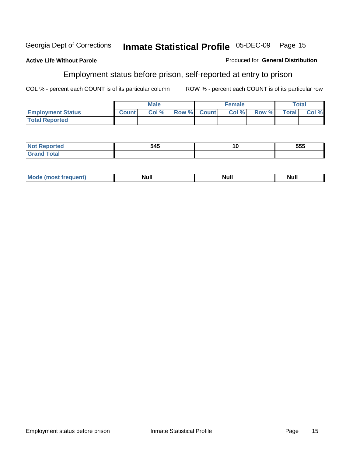#### **Active Life Without Parole**

#### Produced for **General Distribution**

### Employment status before prison, self-reported at entry to prison

|                          |              | <b>Male</b> |             | <b>Female</b> |       |              | <b>Total</b> |
|--------------------------|--------------|-------------|-------------|---------------|-------|--------------|--------------|
| <b>Employment Status</b> | <b>Count</b> | Col %       | Row % Count | Col %         | Row % | <b>Total</b> | Col %        |
| <b>Total Reported</b>    |              |             |             |               |       |              |              |

| المراجع بالتعبين<br>$\bullet$ and $\bullet$ | 545 | . .<br>าเ | 555 |
|---------------------------------------------|-----|-----------|-----|
| <b>otal</b><br>$\mathbf{v}$ and             |     |           |     |

| <b>Mo</b><br>Null<br>eauent)<br>Null<br>Nul. |
|----------------------------------------------|
|----------------------------------------------|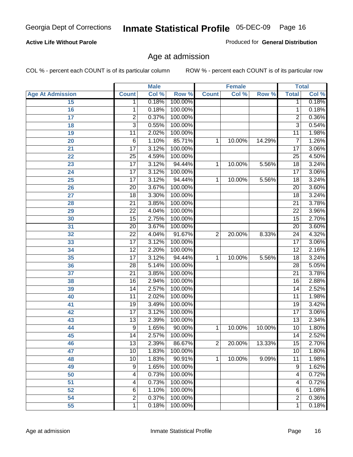#### **Active Life Without Parole**

Produced for **General Distribution**

### Age at admission

|                         | <b>Male</b>             |       | <b>Female</b> |                |        | <b>Total</b> |                         |       |
|-------------------------|-------------------------|-------|---------------|----------------|--------|--------------|-------------------------|-------|
| <b>Age At Admission</b> | <b>Count</b>            | Col % | Row %         | <b>Count</b>   | Col %  | Row %        | <b>Total</b>            | Col % |
| 15                      | 1                       | 0.18% | 100.00%       |                |        |              | 1                       | 0.18% |
| 16                      | 1                       | 0.18% | 100.00%       |                |        |              | 1                       | 0.18% |
| 17                      | $\overline{2}$          | 0.37% | 100.00%       |                |        |              | $\overline{2}$          | 0.36% |
| 18                      | $\overline{3}$          | 0.55% | 100.00%       |                |        |              | $\overline{\mathbf{3}}$ | 0.54% |
| 19                      | 11                      | 2.02% | 100.00%       |                |        |              | 11                      | 1.98% |
| 20                      | $\overline{6}$          | 1.10% | 85.71%        | 1              | 10.00% | 14.29%       | 7                       | 1.26% |
| 21                      | $\overline{17}$         | 3.12% | 100.00%       |                |        |              | $\overline{17}$         | 3.06% |
| 22                      | $\overline{25}$         | 4.59% | 100.00%       |                |        |              | $\overline{25}$         | 4.50% |
| 23                      | $\overline{17}$         | 3.12% | 94.44%        | 1              | 10.00% | 5.56%        | 18                      | 3.24% |
| 24                      | $\overline{17}$         | 3.12% | 100.00%       |                |        |              | $\overline{17}$         | 3.06% |
| 25                      | $\overline{17}$         | 3.12% | 94.44%        | 1              | 10.00% | 5.56%        | $\overline{18}$         | 3.24% |
| 26                      | $\overline{20}$         | 3.67% | 100.00%       |                |        |              | $\overline{20}$         | 3.60% |
| $\overline{27}$         | $\overline{18}$         | 3.30% | 100.00%       |                |        |              | $\overline{18}$         | 3.24% |
| 28                      | $\overline{21}$         | 3.85% | 100.00%       |                |        |              | $\overline{21}$         | 3.78% |
| 29                      | $\overline{22}$         | 4.04% | 100.00%       |                |        |              | $\overline{22}$         | 3.96% |
| 30                      | $\overline{15}$         | 2.75% | 100.00%       |                |        |              | $\overline{15}$         | 2.70% |
| $\overline{31}$         | $\overline{20}$         | 3.67% | 100.00%       |                |        |              | $\overline{20}$         | 3.60% |
| 32                      | $\overline{22}$         | 4.04% | 91.67%        | $\overline{2}$ | 20.00% | 8.33%        | $\overline{24}$         | 4.32% |
| 33                      | $\overline{17}$         | 3.12% | 100.00%       |                |        |              | $\overline{17}$         | 3.06% |
| 34                      | $\overline{12}$         | 2.20% | 100.00%       |                |        |              | $\overline{12}$         | 2.16% |
| 35                      | $\overline{17}$         | 3.12% | 94.44%        | 1              | 10.00% | 5.56%        | $\overline{18}$         | 3.24% |
| 36                      | $\overline{28}$         | 5.14% | 100.00%       |                |        |              | $\overline{28}$         | 5.05% |
| 37                      | $\overline{21}$         | 3.85% | 100.00%       |                |        |              | $\overline{21}$         | 3.78% |
| 38                      | $\overline{16}$         | 2.94% | 100.00%       |                |        |              | $\overline{16}$         | 2.88% |
| 39                      | $\overline{14}$         | 2.57% | 100.00%       |                |        |              | 14                      | 2.52% |
| 40                      | $\overline{11}$         | 2.02% | 100.00%       |                |        |              | $\overline{11}$         | 1.98% |
| 41                      | $\overline{19}$         | 3.49% | 100.00%       |                |        |              | $\overline{19}$         | 3.42% |
| 42                      | $\overline{17}$         | 3.12% | 100.00%       |                |        |              | $\overline{17}$         | 3.06% |
| 43                      | $\overline{13}$         | 2.39% | 100.00%       |                |        |              | $\overline{13}$         | 2.34% |
| 44                      | $\overline{9}$          | 1.65% | 90.00%        | 1              | 10.00% | 10.00%       | $\overline{10}$         | 1.80% |
| 45                      | $\overline{14}$         | 2.57% | 100.00%       |                |        |              | $\overline{14}$         | 2.52% |
| 46                      | 13                      | 2.39% | 86.67%        | 2              | 20.00% | 13.33%       | 15                      | 2.70% |
| 47                      | 10                      | 1.83% | 100.00%       |                |        |              | 10                      | 1.80% |
| 48                      | $\overline{10}$         | 1.83% | 90.91%        | 1              | 10.00% | 9.09%        | $\overline{11}$         | 1.98% |
| 49                      | 9                       | 1.65% | 100.00%       |                |        |              | $\overline{9}$          | 1.62% |
| 50                      | 4                       | 0.73% | 100.00%       |                |        |              | 4                       | 0.72% |
| 51                      | 4                       | 0.73% | 100.00%       |                |        |              | 4                       | 0.72% |
| 52                      | $\overline{6}$          | 1.10% | 100.00%       |                |        |              | 6                       | 1.08% |
| 54                      | $\overline{\mathbf{c}}$ | 0.37% | 100.00%       |                |        |              | $\overline{2}$          | 0.36% |
| 55                      | 1                       | 0.18% | 100.00%       |                |        |              | 1                       | 0.18% |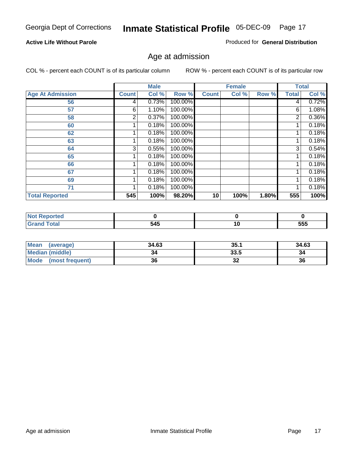#### **Active Life Without Parole**

Produced for **General Distribution**

### Age at admission

|                         |              | <b>Male</b> |         |              | <b>Female</b> |       |              | <b>Total</b> |
|-------------------------|--------------|-------------|---------|--------------|---------------|-------|--------------|--------------|
| <b>Age At Admission</b> | <b>Count</b> | Col %       | Row %   | <b>Count</b> | Col %         | Row % | <b>Total</b> | Col %        |
| 56                      | 4            | 0.73%       | 100.00% |              |               |       | 4            | 0.72%        |
| 57                      | 6            | 1.10%       | 100.00% |              |               |       | 6            | 1.08%        |
| 58                      | 2            | 0.37%       | 100.00% |              |               |       | 2            | 0.36%        |
| 60                      |              | 0.18%       | 100.00% |              |               |       |              | 0.18%        |
| 62                      |              | 0.18%       | 100.00% |              |               |       |              | 0.18%        |
| 63                      |              | 0.18%       | 100.00% |              |               |       |              | 0.18%        |
| 64                      | 3            | 0.55%       | 100.00% |              |               |       | 3            | 0.54%        |
| 65                      |              | 0.18%       | 100.00% |              |               |       |              | 0.18%        |
| 66                      |              | 0.18%       | 100.00% |              |               |       |              | 0.18%        |
| 67                      |              | 0.18%       | 100.00% |              |               |       |              | 0.18%        |
| 69                      |              | 0.18%       | 100.00% |              |               |       |              | 0.18%        |
| 71                      |              | 0.18%       | 100.00% |              |               |       |              | 0.18%        |
| <b>Total Reported</b>   | 545          | 100%        | 98.20%  | 10           | 100%          | 1.80% | 555          | 100%         |

| re o |     |    |     |
|------|-----|----|-----|
| -    | 545 | 10 | 555 |

| <b>Mean</b><br>(average)       | 34.63 | 35.1     | 34.63 |
|--------------------------------|-------|----------|-------|
| <b>Median (middle)</b>         | 34    | 33.5     | 34    |
| <b>Mode</b><br>(most frequent) | 36    | າາ<br>JZ | 36    |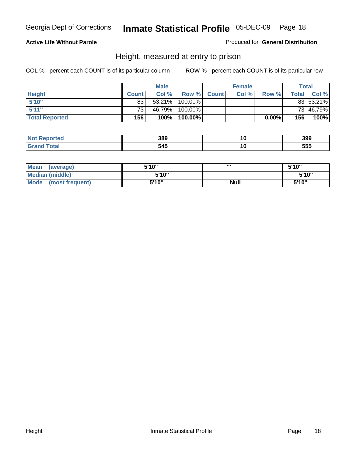#### **Active Life Without Parole**

Produced for **General Distribution**

### Height, measured at entry to prison

|                       |                 | <b>Male</b> |         |             | <b>Female</b> |          |       | Total     |
|-----------------------|-----------------|-------------|---------|-------------|---------------|----------|-------|-----------|
| <b>Height</b>         | <b>Count</b>    | Col %       |         | Row % Count | Col %         | Row %    | Total | Col %     |
| 5'10''                | 83              | 53.21%      | 100.00% |             |               |          |       | 83 53.21% |
| 5'11''                | 73 <sub>1</sub> | 46.79%      | 100.00% |             |               |          |       | 73 46.79% |
| <b>Total Reported</b> | 156             | 100%        | 100.00% |             |               | $0.00\%$ | 156   | 100%      |

| <b>Not</b><br>eported | 389 | 399 |
|-----------------------|-----|-----|
| Grar<br>™otaï         | 545 | 555 |

| <b>Mean</b><br>(average)       | 5'10" | ,,,         | 5'10" |
|--------------------------------|-------|-------------|-------|
| <b>Median (middle)</b>         | 5'10" |             | 5'10" |
| <b>Mode</b><br>(most frequent) | 5'10" | <b>Null</b> | 5'10" |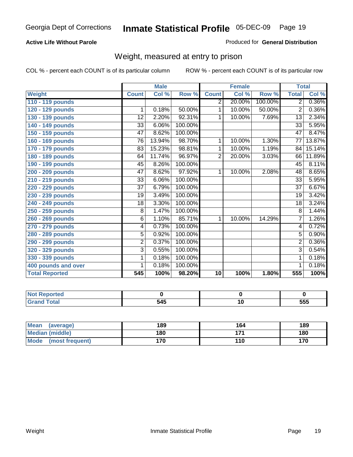#### **Active Life Without Parole**

#### Produced for **General Distribution**

### Weight, measured at entry to prison

|                       |                 | <b>Male</b> |         |                | <b>Female</b> |         | <b>Total</b>    |          |
|-----------------------|-----------------|-------------|---------|----------------|---------------|---------|-----------------|----------|
| <b>Weight</b>         | <b>Count</b>    | Col %       | Row %   | <b>Count</b>   | Col %         | Row %   | <b>Total</b>    | Col %    |
| 110 - 119 pounds      |                 |             |         | $\overline{2}$ | 20.00%        | 100.00% | $\overline{2}$  | $0.36\%$ |
| 120 - 129 pounds      | 1               | 0.18%       | 50.00%  | 1              | 10.00%        | 50.00%  | $\overline{2}$  | 0.36%    |
| 130 - 139 pounds      | 12              | 2.20%       | 92.31%  | 1              | 10.00%        | 7.69%   | 13              | 2.34%    |
| 140 - 149 pounds      | 33              | 6.06%       | 100.00% |                |               |         | $\overline{33}$ | 5.95%    |
| 150 - 159 pounds      | 47              | 8.62%       | 100.00% |                |               |         | $\overline{47}$ | 8.47%    |
| 160 - 169 pounds      | 76              | 13.94%      | 98.70%  | 1              | 10.00%        | 1.30%   | 77              | 13.87%   |
| 170 - 179 pounds      | 83              | 15.23%      | 98.81%  | 1              | 10.00%        | 1.19%   | 84              | 15.14%   |
| 180 - 189 pounds      | 64              | 11.74%      | 96.97%  | $\overline{2}$ | 20.00%        | 3.03%   | 66              | 11.89%   |
| 190 - 199 pounds      | 45              | 8.26%       | 100.00% |                |               |         | 45              | 8.11%    |
| 200 - 209 pounds      | 47              | 8.62%       | 97.92%  | 1              | 10.00%        | 2.08%   | 48              | 8.65%    |
| 210 - 219 pounds      | 33              | 6.06%       | 100.00% |                |               |         | 33              | 5.95%    |
| 220 - 229 pounds      | $\overline{37}$ | 6.79%       | 100.00% |                |               |         | $\overline{37}$ | 6.67%    |
| 230 - 239 pounds      | 19              | 3.49%       | 100.00% |                |               |         | 19              | 3.42%    |
| 240 - 249 pounds      | 18              | 3.30%       | 100.00% |                |               |         | 18              | 3.24%    |
| 250 - 259 pounds      | 8               | 1.47%       | 100.00% |                |               |         | 8               | 1.44%    |
| 260 - 269 pounds      | $\overline{6}$  | 1.10%       | 85.71%  | $\mathbf 1$    | 10.00%        | 14.29%  | $\overline{7}$  | 1.26%    |
| 270 - 279 pounds      | 4               | 0.73%       | 100.00% |                |               |         | 4               | 0.72%    |
| 280 - 289 pounds      | $\overline{5}$  | 0.92%       | 100.00% |                |               |         | 5               | 0.90%    |
| 290 - 299 pounds      | $\overline{2}$  | 0.37%       | 100.00% |                |               |         | $\overline{2}$  | 0.36%    |
| 320 - 329 pounds      | $\overline{3}$  | 0.55%       | 100.00% |                |               |         | $\overline{3}$  | 0.54%    |
| 330 - 339 pounds      | 1               | 0.18%       | 100.00% |                |               |         | 1               | 0.18%    |
| 400 pounds and over   | 1               | 0.18%       | 100.00% |                |               |         | 1               | 0.18%    |
| <b>Total Reported</b> | 545             | 100%        | 98.20%  | 10             | 100%          | 1.80%   | 555             | 100%     |

| <b>Reported</b><br><b>N</b> |            |     |
|-----------------------------|------------|-----|
| <b>otal</b>                 | TAE<br>J43 | 555 |

| <b>Mean</b><br>(average) | 189 | 164   | 189 |
|--------------------------|-----|-------|-----|
| Median (middle)          | 180 | 4 7 4 | 180 |
| Mode<br>(most frequent)  | 170 | 110   | 170 |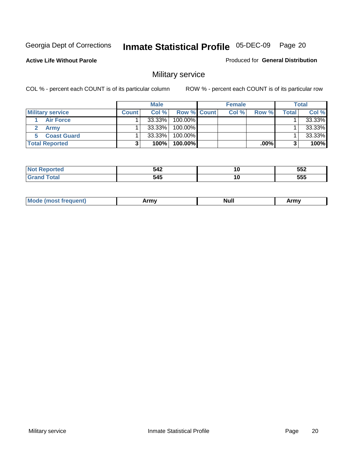**Active Life Without Parole** 

Produced for **General Distribution**

### Military service

|                         |              | <b>Male</b> |                    | <b>Female</b> |         |       | <b>Total</b> |
|-------------------------|--------------|-------------|--------------------|---------------|---------|-------|--------------|
| <b>Military service</b> | <b>Count</b> | Col %       | <b>Row % Count</b> | Col %         | Row %   | Total | Col %        |
| <b>Air Force</b>        |              | $33.33\%$   | 100.00%            |               |         |       | 33.33%       |
| <b>Army</b>             |              | $33.33\%$   | 100.00%            |               |         |       | 33.33%       |
| <b>Coast Guard</b>      |              | $33.33\%$   | 100.00%            |               |         |       | 33.33%       |
| <b>Total Reported</b>   |              | 100%        | 100.00%            |               | $.00\%$ |       | 100%         |

|       | 542          | 10  | --^<br>JJL |
|-------|--------------|-----|------------|
| _____ | - - -<br>545 | 1 U | EEE<br>ບບບ |

|  | <b>Mode (most frequent)</b> | Armv | <b>Null</b> | Army |
|--|-----------------------------|------|-------------|------|
|--|-----------------------------|------|-------------|------|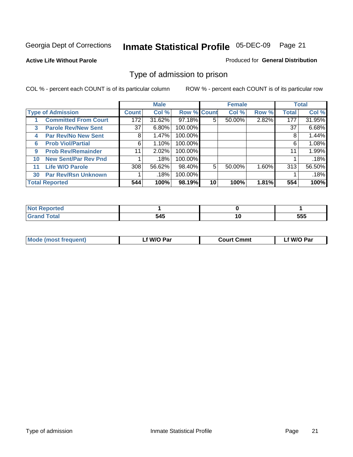**Active Life Without Parole** 

Produced for **General Distribution**

### Type of admission to prison

|    |                             |                 | <b>Male</b> |                    |    | <b>Female</b> |       |              | <b>Total</b> |
|----|-----------------------------|-----------------|-------------|--------------------|----|---------------|-------|--------------|--------------|
|    | <b>Type of Admission</b>    | <b>Count</b>    | Col %       | <b>Row % Count</b> |    | Col %         | Row % | <b>Total</b> | Col %        |
|    | <b>Committed From Court</b> | 172             | 31.62%      | 97.18%             | 5  | 50.00%        | 2.82% | 177          | 31.95%       |
| 3  | <b>Parole Rev/New Sent</b>  | 37 <sup>1</sup> | 6.80%       | 100.00%            |    |               |       | 37           | 6.68%        |
| 4  | <b>Par Rev/No New Sent</b>  | 8               | 1.47%       | 100.00%            |    |               |       | 8            | 1.44%        |
| 6  | <b>Prob Viol/Partial</b>    | 6               | 1.10%       | 100.00%            |    |               |       | 6            | 1.08%        |
| 9  | <b>Prob Rev/Remainder</b>   | 11              | 2.02%       | 100.00%            |    |               |       | 11           | 1.99%        |
| 10 | <b>New Sent/Par Rev Pnd</b> |                 | .18%        | 100.00%            |    |               |       |              | .18%         |
| 11 | <b>Life W/O Parole</b>      | 308             | 56.62%      | 98.40%             | 5  | 50.00%        | 1.60% | 313          | 56.50%       |
| 30 | <b>Par Rev/Rsn Unknown</b>  |                 | .18%        | 100.00%            |    |               |       |              | .18%         |
|    | <b>Total Reported</b>       | 544             | 100%        | 98.19%             | 10 | 100%          | 1.81% | 554          | 100%         |

| <b>eported</b> |     |     |     |
|----------------|-----|-----|-----|
| <b>Total</b>   | 545 | . . | 555 |

| <b>Mode (most frequent)</b> | f W/O Par | <b>Court Cmmt</b> | W/O Par |
|-----------------------------|-----------|-------------------|---------|
|                             |           |                   |         |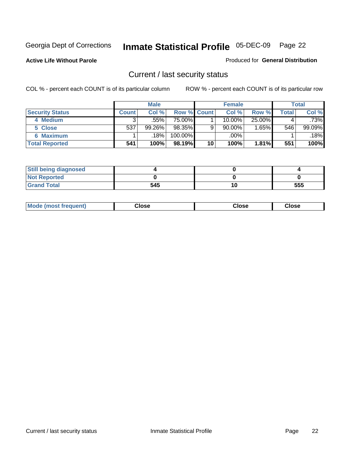**Active Life Without Parole** 

Produced for **General Distribution**

### Current / last security status

|                        |         | <b>Male</b> |                    |    | <b>Female</b> |           |         | <b>Total</b> |
|------------------------|---------|-------------|--------------------|----|---------------|-----------|---------|--------------|
| <b>Security Status</b> | Count l | Col%        | <b>Row % Count</b> |    | Col %         | Row %     | Total . | Col %        |
| 4 Medium               |         | .55%        | 75.00%I            |    | 10.00%        | $25.00\%$ |         | .73%         |
| 5 Close                | 537     | 99.26%      | 98.35%             | 9  | 90.00%        | $1.65\%$  | 546     | 99.09%       |
| <b>6 Maximum</b>       |         | .18%        | $100.00\%$         |    | .00%          |           |         | .18%         |
| <b>Total Reported</b>  | 541     | 100%        | 98.19%             | 10 | 100%          | 1.81%     | 551     | 100%         |

| <b>Still being diagnosed</b> |     |     |
|------------------------------|-----|-----|
| <b>Not Reported</b>          |     |     |
| <b>Grand Total</b>           | 545 | 555 |

| Mode (most frequent) | Close | Close | <b>Close</b> |
|----------------------|-------|-------|--------------|
|                      |       |       |              |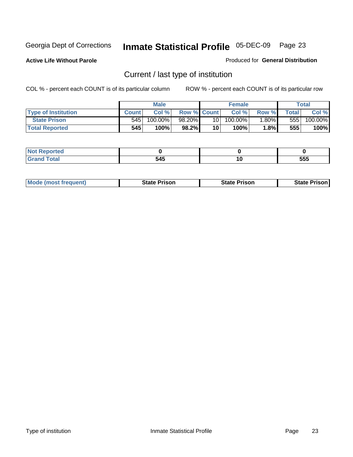**Active Life Without Parole** 

Produced for **General Distribution**

### Current / last type of institution

|                            |              | <b>Male</b> |                    |                 | <b>Female</b> |         |       | Total   |
|----------------------------|--------------|-------------|--------------------|-----------------|---------------|---------|-------|---------|
| <b>Type of Institution</b> | <b>Count</b> | Col %       | <b>Row % Count</b> |                 | Col %         | Row %I  | Total | Col %   |
| <b>State Prison</b>        | 545          | 100.00%」    | 98.20%             | 10 <sup>1</sup> | $100.00\%$    | $.80\%$ | 5551  | 100.00% |
| <b>Total Reported</b>      | 545          | 100%        | 98.2%              | 10              | $100\%$       | $1.8\%$ | 555   | 100%    |

| τeα<br>.<br>. |       |              |             |
|---------------|-------|--------------|-------------|
| _____         | - - - | 10<br>$\sim$ | EEE<br>ືວວວ |

|  | <b>Mode (most frequent)</b> | State Prison | <b>State Prison</b> | <b>State Prison</b> |
|--|-----------------------------|--------------|---------------------|---------------------|
|--|-----------------------------|--------------|---------------------|---------------------|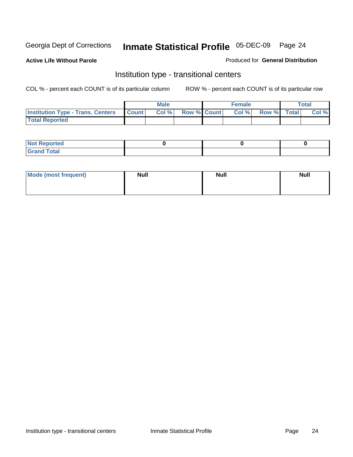**Active Life Without Parole** 

Produced for **General Distribution**

### Institution type - transitional centers

|                                          |              | <b>Male</b> |                    | <b>Female</b> |             | Total |
|------------------------------------------|--------------|-------------|--------------------|---------------|-------------|-------|
| <b>Institution Type - Trans. Centers</b> | <b>Count</b> | Col%        | <b>Row % Count</b> | Col %         | Row % Total | Col % |
| <b>Total Reported</b>                    |              |             |                    |               |             |       |

| <b>Reported</b><br>$\sim$ |  |  |
|---------------------------|--|--|
| ota<br>C.v.<br>-<br>_____ |  |  |

| Mode (most frequent) | <b>Null</b> | <b>Null</b> | <b>Null</b> |
|----------------------|-------------|-------------|-------------|
|                      |             |             |             |
|                      |             |             |             |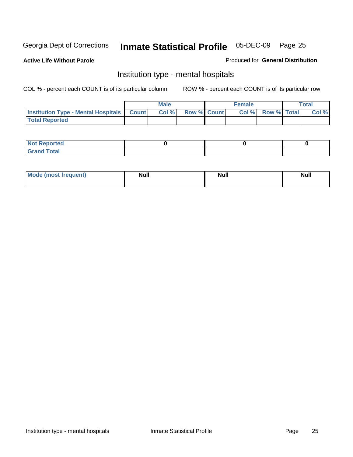**Active Life Without Parole** 

Produced for **General Distribution**

### Institution type - mental hospitals

|                                                  | <b>Male</b> |                    | <b>Female</b> |                   | <b>Total</b> |
|--------------------------------------------------|-------------|--------------------|---------------|-------------------|--------------|
| <b>Institution Type - Mental Hospitals Count</b> | Col%        | <b>Row % Count</b> |               | Col % Row % Total | Col %        |
| <b>Total Reported</b>                            |             |                    |               |                   |              |

| <b>Not Reported</b> |  |  |
|---------------------|--|--|
| <b>Fotal</b><br>Cro |  |  |

| Mode (most frequent) | <b>Null</b> | <b>Null</b> | <b>Null</b> |
|----------------------|-------------|-------------|-------------|
|                      |             |             |             |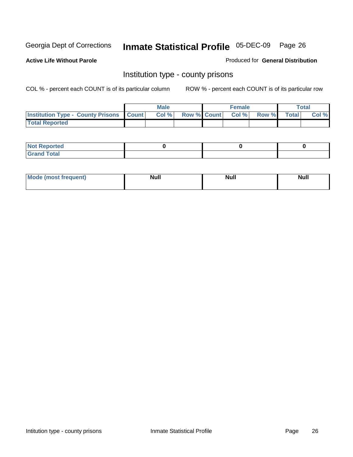**Active Life Without Parole** 

Produced for **General Distribution**

### Institution type - county prisons

|                                                    | <b>Male</b> |                   | <b>Female</b> |       |       | Total |
|----------------------------------------------------|-------------|-------------------|---------------|-------|-------|-------|
| <b>Institution Type - County Prisons   Count  </b> | Col %       | Row % Count Col % |               | Row % | Total | Col % |
| <b>Total Reported</b>                              |             |                   |               |       |       |       |

| <b>Not Reported</b>        |  |  |
|----------------------------|--|--|
| <b>Total</b><br>.Grar<br>- |  |  |

| Mod<br>frequent) | <b>Null</b> | <b>Null</b> | <b>Null</b> |
|------------------|-------------|-------------|-------------|
|                  |             |             |             |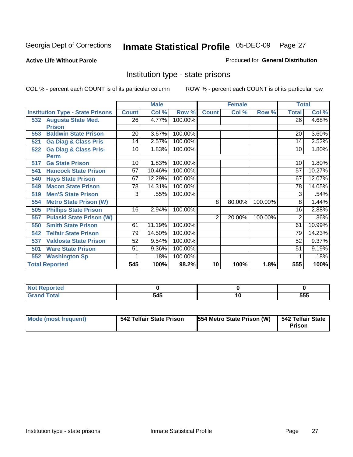#### **Active Life Without Parole**

#### Produced for **General Distribution**

### Institution type - state prisons

|                                         |                 | <b>Male</b> |         |                | <b>Female</b> |         | <b>Total</b>    |        |
|-----------------------------------------|-----------------|-------------|---------|----------------|---------------|---------|-----------------|--------|
| <b>Institution Type - State Prisons</b> | <b>Count</b>    | Col %       | Row %   | <b>Count</b>   | Col %         | Row %   | <b>Total</b>    | Col %  |
| <b>Augusta State Med.</b><br>532        | $\overline{26}$ | 4.77%       | 100.00% |                |               |         | 26              | 4.68%  |
| <b>Prison</b>                           |                 |             |         |                |               |         |                 |        |
| <b>Baldwin State Prison</b><br>553      | 20              | 3.67%       | 100.00% |                |               |         | 20              | 3.60%  |
| <b>Ga Diag &amp; Class Pris</b><br>521  | 14              | 2.57%       | 100.00% |                |               |         | 14              | 2.52%  |
| <b>Ga Diag &amp; Class Pris-</b><br>522 | 10              | 1.83%       | 100.00% |                |               |         | 10              | 1.80%  |
| <b>Perm</b>                             |                 |             |         |                |               |         |                 |        |
| <b>Ga State Prison</b><br>517           | 10              | 1.83%       | 100.00% |                |               |         | 10              | 1.80%  |
| <b>Hancock State Prison</b><br>541      | $\overline{57}$ | 10.46%      | 100.00% |                |               |         | $\overline{57}$ | 10.27% |
| <b>Hays State Prison</b><br>540         | 67              | 12.29%      | 100.00% |                |               |         | 67              | 12.07% |
| <b>Macon State Prison</b><br>549        | 78              | 14.31%      | 100.00% |                |               |         | 78              | 14.05% |
| <b>Men'S State Prison</b><br>519        | $\overline{3}$  | .55%        | 100.00% |                |               |         | 3               | .54%   |
| 554<br><b>Metro State Prison (W)</b>    |                 |             |         | 8              | 80.00%        | 100.00% | 8               | 1.44%  |
| <b>Phillips State Prison</b><br>505     | 16              | 2.94%       | 100.00% |                |               |         | 16              | 2.88%  |
| <b>Pulaski State Prison (W)</b><br>557  |                 |             |         | $\overline{2}$ | 20.00%        | 100.00% | 2               | .36%   |
| <b>Smith State Prison</b><br>550        | 61              | 11.19%      | 100.00% |                |               |         | 61              | 10.99% |
| <b>Telfair State Prison</b><br>542      | 79              | 14.50%      | 100.00% |                |               |         | 79              | 14.23% |
| <b>Valdosta State Prison</b><br>537     | 52              | 9.54%       | 100.00% |                |               |         | 52              | 9.37%  |
| <b>Ware State Prison</b><br>501         | 51              | 9.36%       | 100.00% |                |               |         | 51              | 9.19%  |
| <b>Washington Sp</b><br>552             |                 | .18%        | 100.00% |                |               |         |                 | .18%   |
| <b>Total Reported</b>                   | 545             | 100%        | 98.2%   | 10             | 100%          | 1.8%    | 555             | 100%   |

| <b>Not</b><br><b>Reported</b><br>$\sim$ |     |     |
|-----------------------------------------|-----|-----|
| <b>Total</b><br>Grar<br><b>UIGHT</b>    | 545 | 555 |

| <b>Mode (most frequent)</b> | 542 Telfair State Prison | 554 Metro State Prison (W) | 542 Telfair State<br><b>Prison</b> |
|-----------------------------|--------------------------|----------------------------|------------------------------------|
|-----------------------------|--------------------------|----------------------------|------------------------------------|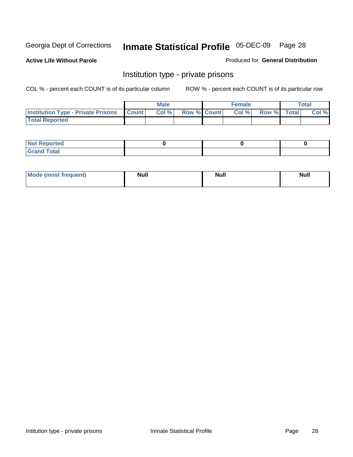**Active Life Without Parole** 

Produced for **General Distribution**

### Institution type - private prisons

|                                                     | <b>Male</b> |                    | <b>Female</b> |             | Total |
|-----------------------------------------------------|-------------|--------------------|---------------|-------------|-------|
| <b>Institution Type - Private Prisons   Count  </b> | Col %       | <b>Row % Count</b> | Col %         | Row % Total | Col % |
| <b>Total Reported</b>                               |             |                    |               |             |       |

| <b>Not Reported</b>        |  |  |
|----------------------------|--|--|
| <b>otal</b><br>. Gror<br>. |  |  |

| Mode (most frequent) | <b>Null</b> | <b>Null</b> | <b>Null</b> |
|----------------------|-------------|-------------|-------------|
|                      |             |             |             |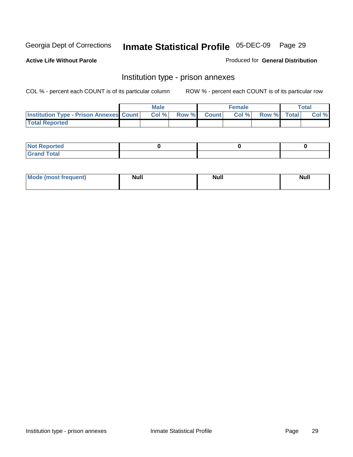**Active Life Without Parole** 

Produced for **General Distribution**

### Institution type - prison annexes

|                                                | <b>Male</b> |             | <b>Female</b> |             | <b>Total</b> |
|------------------------------------------------|-------------|-------------|---------------|-------------|--------------|
| <b>Institution Type - Prison Annexes Count</b> | Col %       | Row % Count | Col%          | Row % Total | Col %        |
| <b>Total Reported</b>                          |             |             |               |             |              |

| <b>Not Reported</b>            |  |  |
|--------------------------------|--|--|
| <b>Total</b><br>Croi<br>$\sim$ |  |  |

| Mode (most frequent) | <b>Null</b> | <b>Null</b> | <b>Null</b> |
|----------------------|-------------|-------------|-------------|
|                      |             |             |             |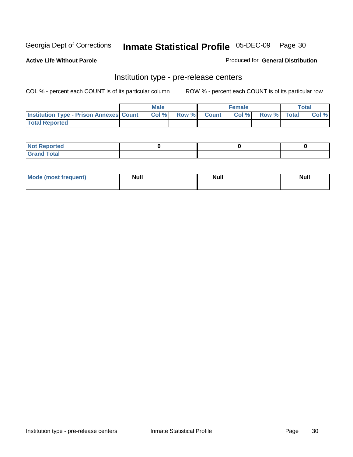**Active Life Without Parole** 

Produced for **General Distribution**

### Institution type - pre-release centers

|                                                | <b>Male</b> |             | <b>Female</b> |             | <b>Total</b> |
|------------------------------------------------|-------------|-------------|---------------|-------------|--------------|
| <b>Institution Type - Prison Annexes Count</b> | Col %       | Row % Count | Col%          | Row % Total | Col %        |
| <b>Total Reported</b>                          |             |             |               |             |              |

| <b>Not</b><br><b>Reported</b>    |  |  |
|----------------------------------|--|--|
| <b>Total</b><br>Gran<br>$\sim$ . |  |  |

| Mode (most frequent) | <b>Null</b> | <b>Null</b> | <b>Null</b> |
|----------------------|-------------|-------------|-------------|
|                      |             |             |             |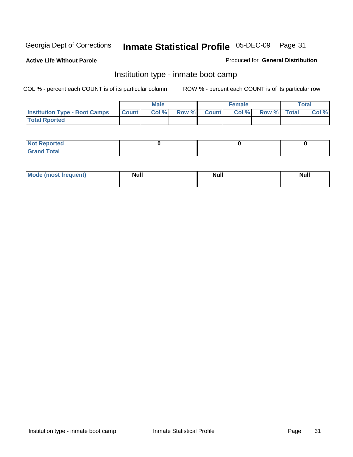**Active Life Without Parole** 

Produced for **General Distribution**

### Institution type - inmate boot camp

|                                      |              | Male  |             | <b>Female</b> |             | <b>Total</b> |
|--------------------------------------|--------------|-------|-------------|---------------|-------------|--------------|
| <b>Institution Type - Boot Camps</b> | <b>Count</b> | Col % | Row % Count | Col%          | Row % Total | Col %        |
| <b>Total Rported</b>                 |              |       |             |               |             |              |

| <b>Not Reported</b>           |  |  |
|-------------------------------|--|--|
| <b>Total</b><br>Gra<br>$\sim$ |  |  |

| Mode (most frequent) | <b>Null</b> | <b>Null</b> | <b>Null</b> |
|----------------------|-------------|-------------|-------------|
|                      |             |             |             |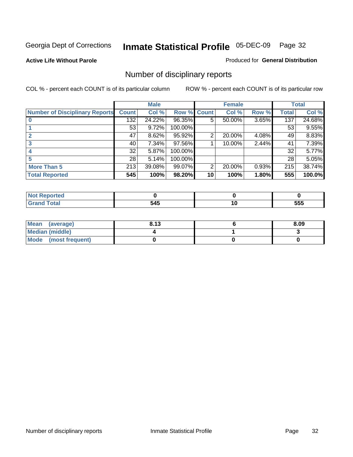#### **Active Life Without Parole**

#### Produced for **General Distribution**

### Number of disciplinary reports

|                                       |              | <b>Male</b> |             |    | <b>Female</b> |       |              | <b>Total</b> |
|---------------------------------------|--------------|-------------|-------------|----|---------------|-------|--------------|--------------|
| <b>Number of Disciplinary Reports</b> | <b>Count</b> | Col %       | Row % Count |    | Col %         | Row % | <b>Total</b> | Col %        |
|                                       | 132          | 24.22%      | 96.35%      | 5  | 50.00%        | 3.65% | 137          | 24.68%       |
|                                       | 53           | 9.72%       | 100.00%     |    |               |       | 53           | 9.55%        |
|                                       | 47           | 8.62%       | 95.92%      | 2  | 20.00%        | 4.08% | 49           | 8.83%        |
| 3                                     | 40           | 7.34%       | 97.56%      |    | 10.00%        | 2.44% | 41           | 7.39%        |
|                                       | 32           | 5.87%       | 100.00%     |    |               |       | 32           | 5.77%        |
| 5                                     | 28           | 5.14%       | 100.00%     |    |               |       | 28           | 5.05%        |
| <b>More Than 5</b>                    | 213          | 39.08%      | 99.07%      | 2  | 20.00%        | 0.93% | 215          | 38.74%       |
| <b>Total Reported</b>                 | 545          | 100%        | 98.20%      | 10 | 100%          | 1.80% | 555          | 100.0%       |

| 54F<br>--<br>$-$ | ı.<br>$\sim$ | ---<br>ວວວ |
|------------------|--------------|------------|

| Mean (average)       | 8.13 | 8.09 |
|----------------------|------|------|
| Median (middle)      |      |      |
| Mode (most frequent) |      |      |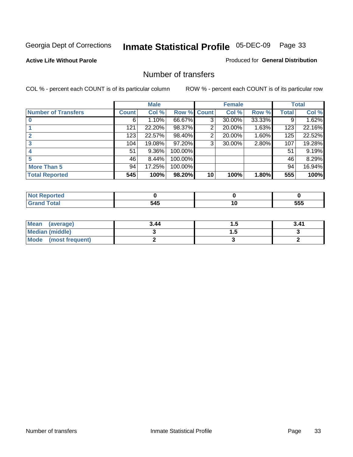#### **Active Life Without Parole**

#### Produced for **General Distribution**

### Number of transfers

|                            |              | <b>Male</b> |         |              | <b>Female</b> |        |              | <b>Total</b> |
|----------------------------|--------------|-------------|---------|--------------|---------------|--------|--------------|--------------|
| <b>Number of Transfers</b> | <b>Count</b> | Col %       | Row %   | <b>Count</b> | Col %         | Row %  | <b>Total</b> | Col %        |
|                            | 6            | 1.10%       | 66.67%  | 3            | 30.00%        | 33.33% | 9            | 1.62%        |
|                            | 121          | 22.20%      | 98.37%  | 2            | 20.00%        | 1.63%  | 123          | 22.16%       |
|                            | 123          | 22.57%      | 98.40%  | 2            | 20.00%        | 1.60%  | 125          | 22.52%       |
|                            | 104          | 19.08%      | 97.20%  | 3            | 30.00%        | 2.80%  | 107          | 19.28%       |
|                            | 51           | 9.36%       | 100.00% |              |               |        | 51           | 9.19%        |
|                            | 46           | 8.44%       | 100.00% |              |               |        | 46           | 8.29%        |
| <b>More Than 5</b>         | 94           | 17.25%      | 100.00% |              |               |        | 94           | 16.94%       |
| <b>Total Reported</b>      | 545          | 100%        | 98.20%  | 10           | 100%          | 1.80%  | 555          | 100%         |

| IN 6<br>тес |                   |              |            |
|-------------|-------------------|--------------|------------|
| ______      | $\Delta F$<br>$-$ | ιu<br>$\sim$ | ---<br>ວວວ |

| Mean (average)       | 3.44 | $\cdot\cdot$ | 3.41 |
|----------------------|------|--------------|------|
| Median (middle)      |      | .            |      |
| Mode (most frequent) |      |              |      |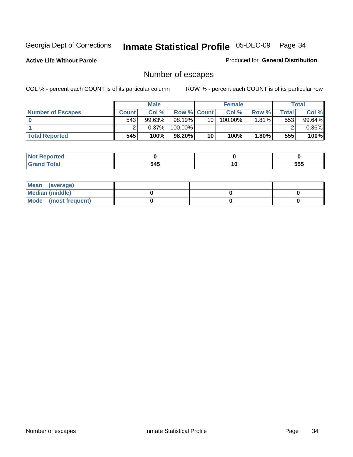**Active Life Without Parole** 

Produced for **General Distribution**

### Number of escapes

|                          |              | <b>Male</b> |                    |    | <b>Female</b> |        |         | <b>Total</b> |
|--------------------------|--------------|-------------|--------------------|----|---------------|--------|---------|--------------|
| <b>Number of Escapes</b> | <b>Count</b> | Col %       | <b>Row % Count</b> |    | Col %         | Row %I | Total . | Col %        |
|                          | 543          | $99.63\%$   | 98.19%             | 10 | $100.00\%$    | 1.81%∎ | 553     | 99.64%       |
|                          |              | $0.37\%$    | 100.00%            |    |               |        |         | $0.36\%$     |
| <b>Total Reported</b>    | 545          | 100%        | 98.20%             | 10 | 100%          | 1.80%  | 555     | 100%         |

| neo                           |     |     |     |
|-------------------------------|-----|-----|-----|
| <b>otal</b><br><b>U</b> ldilu | 545 | 1 V | 555 |

| Mean (average)       |  |  |
|----------------------|--|--|
| Median (middle)      |  |  |
| Mode (most frequent) |  |  |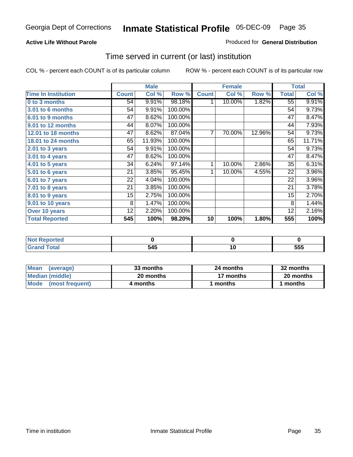#### **Active Life Without Parole**

#### Produced for **General Distribution**

### Time served in current (or last) institution

|                            | <b>Male</b>  |        | <b>Female</b> |                |        | <b>Total</b> |                 |        |
|----------------------------|--------------|--------|---------------|----------------|--------|--------------|-----------------|--------|
| <b>Time In Institution</b> | <b>Count</b> | Col %  | Row %         | <b>Count</b>   | Col %  | Row %        | <b>Total</b>    | Col %  |
| 0 to 3 months              | 54           | 9.91%  | 98.18%        | 1              | 10.00% | 1.82%        | $\overline{55}$ | 9.91%  |
| 3.01 to 6 months           | 54           | 9.91%  | 100.00%       |                |        |              | 54              | 9.73%  |
| 6.01 to 9 months           | 47           | 8.62%  | 100.00%       |                |        |              | 47              | 8.47%  |
| 9.01 to 12 months          | 44           | 8.07%  | 100.00%       |                |        |              | 44              | 7.93%  |
| 12.01 to 18 months         | 47           | 8.62%  | 87.04%        | $\overline{7}$ | 70.00% | 12.96%       | 54              | 9.73%  |
| 18.01 to 24 months         | 65           | 11.93% | 100.00%       |                |        |              | 65              | 11.71% |
| 2.01 to 3 years            | 54           | 9.91%  | 100.00%       |                |        |              | 54              | 9.73%  |
| 3.01 to 4 years            | 47           | 8.62%  | 100.00%       |                |        |              | 47              | 8.47%  |
| 4.01 to 5 years            | 34           | 6.24%  | 97.14%        | 1              | 10.00% | 2.86%        | 35              | 6.31%  |
| $5.01$ to 6 years          | 21           | 3.85%  | 95.45%        | 1              | 10.00% | 4.55%        | 22              | 3.96%  |
| 6.01 to 7 years            | 22           | 4.04%  | 100.00%       |                |        |              | 22              | 3.96%  |
| $7.01$ to 8 years          | 21           | 3.85%  | 100.00%       |                |        |              | 21              | 3.78%  |
| 8.01 to 9 years            | 15           | 2.75%  | 100.00%       |                |        |              | 15              | 2.70%  |
| 9.01 to 10 years           | 8            | 1.47%  | 100.00%       |                |        |              | 8               | 1.44%  |
| Over 10 years              | 12           | 2.20%  | 100.00%       |                |        |              | 12              | 2.16%  |
| <b>Total Reported</b>      | 545          | 100%   | 98.20%        | 10             | 100%   | 1.80%        | 555             | 100%   |

| <b>eported</b><br><b>NOT</b> |     |     |     |
|------------------------------|-----|-----|-----|
| <b>otal</b>                  | 545 | . . | 555 |

| <b>Mean</b><br>(average) | 33 months | 24 months | 32 months |  |
|--------------------------|-----------|-----------|-----------|--|
| Median (middle)          | 20 months | 17 months | 20 months |  |
| Mode<br>(most frequent)  | 4 months  | ∣ months  | months    |  |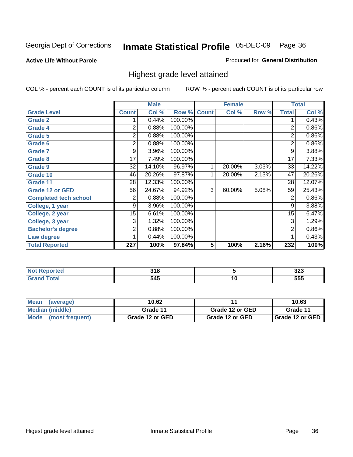#### **Active Life Without Parole**

#### Produced for **General Distribution**

### Highest grade level attained

|                              |              | <b>Male</b> |         |              | <b>Female</b> |       |                | <b>Total</b> |
|------------------------------|--------------|-------------|---------|--------------|---------------|-------|----------------|--------------|
| <b>Grade Level</b>           | <b>Count</b> | Col %       | Row %   | <b>Count</b> | Col %         | Row % | <b>Total</b>   | Col %        |
| <b>Grade 2</b>               |              | 0.44%       | 100.00% |              |               |       | 1              | 0.43%        |
| <b>Grade 4</b>               | 2            | 0.88%       | 100.00% |              |               |       | $\overline{2}$ | 0.86%        |
| <b>Grade 5</b>               | 2            | 0.88%       | 100.00% |              |               |       | $\overline{2}$ | 0.86%        |
| Grade 6                      | 2            | 0.88%       | 100.00% |              |               |       | $\overline{2}$ | $0.86\%$     |
| <b>Grade 7</b>               | 9            | 3.96%       | 100.00% |              |               |       | 9              | 3.88%        |
| Grade 8                      | 17           | 7.49%       | 100.00% |              |               |       | 17             | 7.33%        |
| Grade 9                      | 32           | 14.10%      | 96.97%  | 1            | 20.00%        | 3.03% | 33             | 14.22%       |
| Grade 10                     | 46           | 20.26%      | 97.87%  | 1            | 20.00%        | 2.13% | 47             | 20.26%       |
| Grade 11                     | 28           | 12.33%      | 100.00% |              |               |       | 28             | 12.07%       |
| <b>Grade 12 or GED</b>       | 56           | 24.67%      | 94.92%  | 3            | 60.00%        | 5.08% | 59             | 25.43%       |
| <b>Completed tech school</b> | 2            | 0.88%       | 100.00% |              |               |       | $\overline{2}$ | 0.86%        |
| College, 1 year              | 9            | 3.96%       | 100.00% |              |               |       | 9              | 3.88%        |
| College, 2 year              | 15           | 6.61%       | 100.00% |              |               |       | 15             | 6.47%        |
| College, 3 year              | 3            | 1.32%       | 100.00% |              |               |       | 3              | 1.29%        |
| <b>Bachelor's degree</b>     | 2            | 0.88%       | 100.00% |              |               |       | 2              | 0.86%        |
| Law degree                   |              | 0.44%       | 100.00% |              |               |       | 1              | 0.43%        |
| <b>Total Reported</b>        | 227          | 100%        | 97.84%  | 5            | 100%          | 2.16% | 232            | 100%         |

| тео | 940<br>. |    | ົ<br>JZJ<br>$ -$ |
|-----|----------|----|------------------|
|     | 545      | ιv | 555              |

| Mean<br>(average)              | 10.62           |                 | 10.63             |
|--------------------------------|-----------------|-----------------|-------------------|
| Median (middle)                | Grade 11        | Grade 12 or GED | Grade 11          |
| <b>Mode</b><br>(most frequent) | Grade 12 or GED | Grade 12 or GED | I Grade 12 or GED |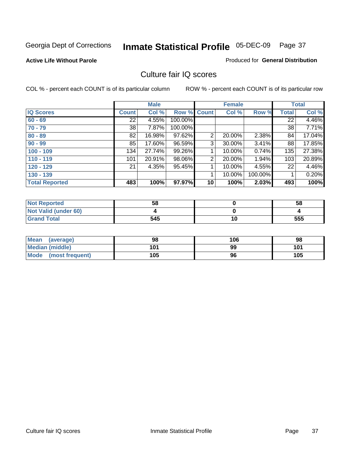#### **Active Life Without Parole**

### Produced for **General Distribution**

# Culture fair IQ scores

|                       |              | <b>Male</b> |             |                 | <b>Female</b> |          |              | <b>Total</b> |
|-----------------------|--------------|-------------|-------------|-----------------|---------------|----------|--------------|--------------|
| <b>IQ Scores</b>      | <b>Count</b> | Col %       | Row % Count |                 | Col %         | Row %    | <b>Total</b> | Col %        |
| $60 - 69$             | 22           | 4.55%       | 100.00%     |                 |               |          | 22           | 4.46%        |
| $70 - 79$             | 38           | 7.87%       | 100.00%     |                 |               |          | 38           | 7.71%        |
| $80 - 89$             | 82           | 16.98%      | 97.62%      | 2               | 20.00%        | 2.38%    | 84           | 17.04%       |
| $90 - 99$             | 85           | 17.60%      | 96.59%      | 3               | 30.00%        | $3.41\%$ | 88           | 17.85%       |
| $100 - 109$           | 134          | 27.74%      | 99.26%      | 1               | 10.00%        | 0.74%    | 135          | 27.38%       |
| $110 - 119$           | 101          | 20.91%      | 98.06%      | 2               | 20.00%        | 1.94%    | 103          | 20.89%       |
| $120 - 129$           | 21           | 4.35%       | 95.45%      | 1               | 10.00%        | 4.55%    | 22           | 4.46%        |
| $130 - 139$           |              |             |             | 1               | 10.00%        | 100.00%  |              | 0.20%        |
| <b>Total Reported</b> | 483          | 100%        | 97.97%      | 10 <sup>1</sup> | 100%          | 2.03%    | 493          | 100%         |

| <b>Not Reported</b>  | 58  |    | 58  |
|----------------------|-----|----|-----|
| Not Valid (under 60) |     |    |     |
| <b>Grand Total</b>   | 545 | 10 | 555 |

| <b>Mean</b><br>(average) | 98  | 106 | 98  |
|--------------------------|-----|-----|-----|
| <b>Median (middle)</b>   | 101 | 99  | 101 |
| Mode (most frequent)     | 105 | 96  | 105 |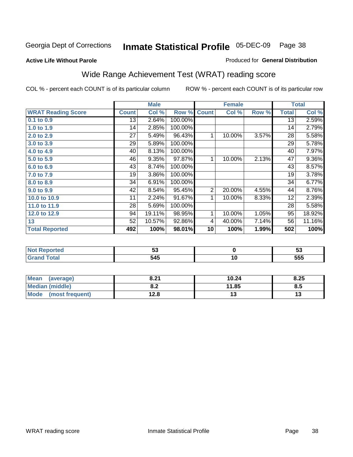**Active Life Without Parole** 

#### Produced for **General Distribution**

# Wide Range Achievement Test (WRAT) reading score

|                           |                 | <b>Male</b> |         |                | <b>Female</b> |       |                 | <b>Total</b> |
|---------------------------|-----------------|-------------|---------|----------------|---------------|-------|-----------------|--------------|
| <b>WRAT Reading Score</b> | <b>Count</b>    | Col %       | Row %   | <b>Count</b>   | Col %         | Row % | <b>Total</b>    | Col %        |
| 0.1 to 0.9                | $\overline{13}$ | 2.64%       | 100.00% |                |               |       | $\overline{13}$ | 2.59%        |
| 1.0 to 1.9                | 14              | 2.85%       | 100.00% |                |               |       | 14              | 2.79%        |
| 2.0 to 2.9                | 27              | 5.49%       | 96.43%  | 1              | 10.00%        | 3.57% | 28              | 5.58%        |
| 3.0 to 3.9                | 29              | 5.89%       | 100.00% |                |               |       | 29              | 5.78%        |
| 4.0 to 4.9                | 40              | 8.13%       | 100.00% |                |               |       | 40              | 7.97%        |
| 5.0 to 5.9                | 46              | 9.35%       | 97.87%  | 1              | 10.00%        | 2.13% | 47              | $9.36\%$     |
| 6.0 to 6.9                | 43              | 8.74%       | 100.00% |                |               |       | 43              | 8.57%        |
| 7.0 to 7.9                | 19              | 3.86%       | 100.00% |                |               |       | 19              | 3.78%        |
| 8.0 to 8.9                | 34              | 6.91%       | 100.00% |                |               |       | 34              | 6.77%        |
| 9.0 to 9.9                | 42              | 8.54%       | 95.45%  | $\overline{2}$ | 20.00%        | 4.55% | 44              | 8.76%        |
| 10.0 to 10.9              | 11              | 2.24%       | 91.67%  | 1              | 10.00%        | 8.33% | 12              | 2.39%        |
| 11.0 to 11.9              | 28              | 5.69%       | 100.00% |                |               |       | 28              | 5.58%        |
| 12.0 to 12.9              | 94              | 19.11%      | 98.95%  | 1              | 10.00%        | 1.05% | 95              | 18.92%       |
| 13                        | 52              | 10.57%      | 92.86%  | 4              | 40.00%        | 7.14% | 56              | 11.16%       |
| <b>Total Reported</b>     | 492             | 100%        | 98.01%  | 10             | 100%          | 1.99% | 502             | 100%         |
|                           |                 |             |         |                |               |       |                 |              |
| <b>Not Reported</b>       |                 | 53          |         |                | $\bf{0}$      |       |                 | 53           |
| <b>Grand Total</b>        |                 | 545         |         |                | 10            |       |                 | 555          |

| <b>Mean</b><br>(average) | 8.21       | 10.24 | 8.25 |
|--------------------------|------------|-------|------|
| Median (middle)          | 0 מ<br>o.z | 11.85 | 8.5  |
| Mode (most frequent)     | 12.8       | ט ו   |      |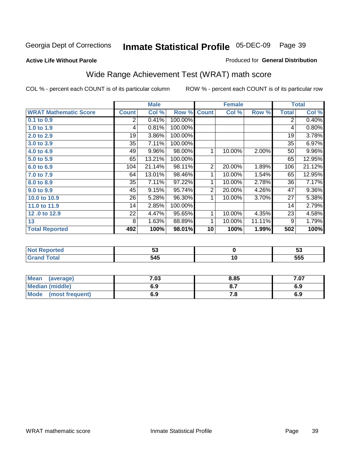**Active Life Without Parole** 

### Produced for **General Distribution**

# Wide Range Achievement Test (WRAT) math score

|                              |              | <b>Male</b> |         |                | <b>Female</b> |        |                | <b>Total</b> |
|------------------------------|--------------|-------------|---------|----------------|---------------|--------|----------------|--------------|
| <b>WRAT Mathematic Score</b> | <b>Count</b> | Col %       | Row %   | <b>Count</b>   | Col %         | Row %  | <b>Total</b>   | Col %        |
| 0.1 to 0.9                   | 2            | 0.41%       | 100.00% |                |               |        | $\overline{2}$ | 0.40%        |
| 1.0 to 1.9                   | 4            | 0.81%       | 100.00% |                |               |        | 4              | 0.80%        |
| 2.0 to 2.9                   | 19           | 3.86%       | 100.00% |                |               |        | 19             | 3.78%        |
| 3.0 to 3.9                   | 35           | 7.11%       | 100.00% |                |               |        | 35             | 6.97%        |
| 4.0 to 4.9                   | 49           | 9.96%       | 98.00%  | 1              | 10.00%        | 2.00%  | 50             | 9.96%        |
| 5.0 to 5.9                   | 65           | 13.21%      | 100.00% |                |               |        | 65             | 12.95%       |
| 6.0 to 6.9                   | 104          | 21.14%      | 98.11%  | $\overline{2}$ | 20.00%        | 1.89%  | 106            | 21.12%       |
| 7.0 to 7.9                   | 64           | 13.01%      | 98.46%  | 1              | 10.00%        | 1.54%  | 65             | 12.95%       |
| 8.0 to 8.9                   | 35           | 7.11%       | 97.22%  | 1              | 10.00%        | 2.78%  | 36             | 7.17%        |
| 9.0 to 9.9                   | 45           | 9.15%       | 95.74%  | $\overline{2}$ | 20.00%        | 4.26%  | 47             | $9.36\%$     |
| 10.0 to 10.9                 | 26           | 5.28%       | 96.30%  | 1              | 10.00%        | 3.70%  | 27             | 5.38%        |
| 11.0 to 11.9                 | 14           | 2.85%       | 100.00% |                |               |        | 14             | 2.79%        |
| 12.0 to 12.9                 | 22           | 4.47%       | 95.65%  | 1              | 10.00%        | 4.35%  | 23             | 4.58%        |
| 13                           | 8            | 1.63%       | 88.89%  | 1              | 10.00%        | 11.11% | 9              | 1.79%        |
| <b>Total Reported</b>        | 492          | 100%        | 98.01%  | 10             | 100%          | 1.99%  | 502            | 100%         |
|                              |              |             |         |                |               |        |                |              |
| <b>Not Reported</b>          |              | 53          |         |                | $\mathbf 0$   |        |                | 53           |
| <b>Grand Total</b>           |              | 545         |         |                | 10            |        |                | 555          |

| <b>Mean</b><br>(average) | 7.03 | 8.85 | ,ט  |
|--------------------------|------|------|-----|
| Median (middle)          | 6.9  |      | 6.9 |
| Mode<br>(most frequent)  | 6.9  | . о  | 6.9 |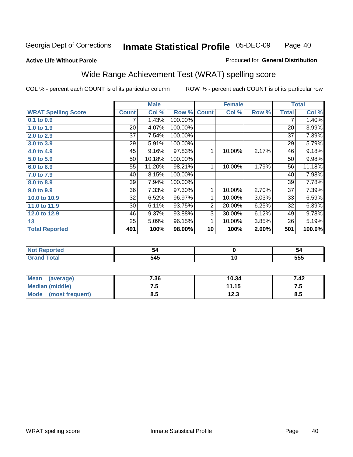#### **Active Life Without Parole**

### Produced for **General Distribution**

# Wide Range Achievement Test (WRAT) spelling score

|                            |              | <b>Male</b> |         |                | <b>Female</b> |       |              | <b>Total</b> |
|----------------------------|--------------|-------------|---------|----------------|---------------|-------|--------------|--------------|
| <b>WRAT Spelling Score</b> | <b>Count</b> | Col %       | Row %   | <b>Count</b>   | Col %         | Row % | <b>Total</b> | Col %        |
| 0.1 to 0.9                 |              | 1.43%       | 100.00% |                |               |       | 7            | 1.40%        |
| 1.0 to 1.9                 | 20           | 4.07%       | 100.00% |                |               |       | 20           | 3.99%        |
| 2.0 to 2.9                 | 37           | 7.54%       | 100.00% |                |               |       | 37           | 7.39%        |
| 3.0 to 3.9                 | 29           | 5.91%       | 100.00% |                |               |       | 29           | 5.79%        |
| 4.0 to 4.9                 | 45           | 9.16%       | 97.83%  | 1              | 10.00%        | 2.17% | 46           | 9.18%        |
| 5.0 to 5.9                 | 50           | 10.18%      | 100.00% |                |               |       | 50           | 9.98%        |
| 6.0 to 6.9                 | 55           | 11.20%      | 98.21%  | 1              | 10.00%        | 1.79% | 56           | 11.18%       |
| 7.0 to 7.9                 | 40           | 8.15%       | 100.00% |                |               |       | 40           | 7.98%        |
| 8.0 to 8.9                 | 39           | 7.94%       | 100.00% |                |               |       | 39           | 7.78%        |
| 9.0 to 9.9                 | 36           | 7.33%       | 97.30%  | 1              | 10.00%        | 2.70% | 37           | 7.39%        |
| 10.0 to 10.9               | 32           | 6.52%       | 96.97%  | 1              | 10.00%        | 3.03% | 33           | 6.59%        |
| 11.0 to 11.9               | 30           | 6.11%       | 93.75%  | $\overline{2}$ | 20.00%        | 6.25% | 32           | 6.39%        |
| 12.0 to 12.9               | 46           | 9.37%       | 93.88%  | $\overline{3}$ | 30.00%        | 6.12% | 49           | 9.78%        |
| 13                         | 25           | 5.09%       | 96.15%  | 1              | 10.00%        | 3.85% | 26           | 5.19%        |
| <b>Total Reported</b>      | 491          | 100%        | 98.00%  | 10             | 100%          | 2.00% | 501          | 100.0%       |
|                            |              |             |         |                |               |       |              |              |
| <b>Not Reported</b>        |              | 54          |         |                | $\mathbf 0$   |       |              | 54           |
| <b>Grand Total</b>         |              | 545         |         |                | 10            |       |              | 555          |

| <b>Mean</b><br>(average) | 7.36 | 10.34 | 7.42 |
|--------------------------|------|-------|------|
| Median (middle)          | ں ،  | 11.15 | ن. ا |
| Mode<br>(most frequent)  | 8.5  | 12.3  | 8.5  |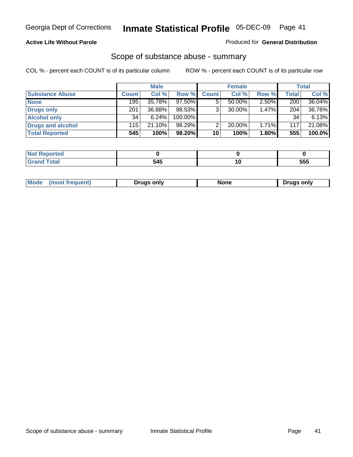### **Active Life Without Parole**

### Produced for **General Distribution**

# Scope of substance abuse - summary

|                        |              | <b>Male</b> |            |              | <b>Female</b> |          |       | Total  |
|------------------------|--------------|-------------|------------|--------------|---------------|----------|-------|--------|
| <b>Substance Abuse</b> | <b>Count</b> | Col %       | Row %      | <b>Count</b> | Col %         | Row %    | Total | Col %  |
| <b>None</b>            | 195          | 35.78%      | $97.50\%$  |              | 50.00%        | $2.50\%$ | 200   | 36.04% |
| <b>Drugs only</b>      | 201          | 36.88%      | 98.53%     |              | 30.00%        | 1.47%    | 204   | 36.76% |
| <b>Alcohol only</b>    | 34           | 6.24%       | $100.00\%$ |              |               |          | 34    | 6.13%  |
| Drugs and alcohol      | 115          | 21.10%      | 98.29%     | ⌒            | 20.00%        | 1.71%    | 117   | 21.08% |
| <b>Total Reported</b>  | 545          | 100%        | 98.20%     | 10           | 100%          | 1.80%    | 555   | 100.0% |

| المدافعة<br>  Not<br>eportea |                  |            |
|------------------------------|------------------|------------|
| <b>Total</b><br><b>Grand</b> | .<br>.54'<br>, , | EEE<br>ວວວ |

|  | Mode<br>ונוצוווי | Druas onlv | None | only<br>Pruas . |
|--|------------------|------------|------|-----------------|
|--|------------------|------------|------|-----------------|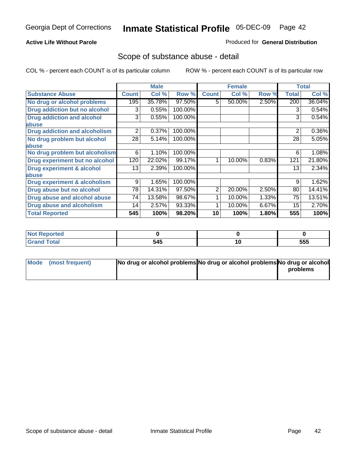# **Active Life Without Parole**

## Produced for **General Distribution**

# Scope of substance abuse - detail

|                                         |              | <b>Male</b> |         |                | <b>Female</b> |       |              | <b>Total</b> |
|-----------------------------------------|--------------|-------------|---------|----------------|---------------|-------|--------------|--------------|
| <b>Substance Abuse</b>                  | <b>Count</b> | Col %       | Row %   | <b>Count</b>   | Col %         | Row % | <b>Total</b> | Col %        |
| No drug or alcohol problems             | 195          | 35.78%      | 97.50%  | 5.             | 50.00%        | 2.50% | 200          | 36.04%       |
| Drug addiction but no alcohol           | 3            | 0.55%       | 100.00% |                |               |       | 3            | 0.54%        |
| <b>Drug addiction and alcohol</b>       | 3            | 0.55%       | 100.00% |                |               |       | 3            | 0.54%        |
| abuse                                   |              |             |         |                |               |       |              |              |
| <b>Drug addiction and alcoholism</b>    | 2            | 0.37%       | 100.00% |                |               |       | 2            | 0.36%        |
| No drug problem but alcohol             | 28           | 5.14%       | 100.00% |                |               |       | 28           | 5.05%        |
| abuse                                   |              |             |         |                |               |       |              |              |
| No drug problem but alcoholism          | 6            | 1.10%       | 100.00% |                |               |       | 6            | 1.08%        |
| Drug experiment but no alcohol          | 120          | 22.02%      | 99.17%  |                | 10.00%        | 0.83% | 121          | 21.80%       |
| <b>Drug experiment &amp; alcohol</b>    | 13           | 2.39%       | 100.00% |                |               |       | 13           | 2.34%        |
| abuse                                   |              |             |         |                |               |       |              |              |
| <b>Drug experiment &amp; alcoholism</b> | 9            | 1.65%       | 100.00% |                |               |       | 9            | 1.62%        |
| Drug abuse but no alcohol               | 78           | 14.31%      | 97.50%  | $\overline{2}$ | 20.00%        | 2.50% | 80           | 14.41%       |
| Drug abuse and alcohol abuse            | 74           | 13.58%      | 98.67%  |                | 10.00%        | 1.33% | 75           | 13.51%       |
| <b>Drug abuse and alcoholism</b>        | 14           | 2.57%       | 93.33%  |                | 10.00%        | 6.67% | 15           | 2.70%        |
| <b>Total Reported</b>                   | 545          | 100%        | 98.20%  | 10             | 100%          | 1.80% | 555          | 100%         |

| Not Reported |     |     |
|--------------|-----|-----|
| <b>Total</b> | 545 | 555 |

| Mode (most frequent) | No drug or alcohol problems No drug or alcohol problems No drug or alcohol |          |
|----------------------|----------------------------------------------------------------------------|----------|
|                      |                                                                            | problems |
|                      |                                                                            |          |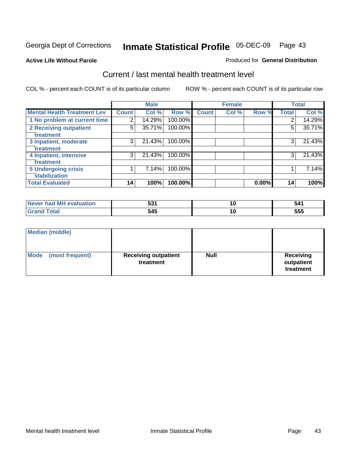### **Active Life Without Parole**

#### Produced for **General Distribution**

# Current / last mental health treatment level

|                                    |              | <b>Male</b> |         |              | <b>Female</b> |       |              | <b>Total</b> |
|------------------------------------|--------------|-------------|---------|--------------|---------------|-------|--------------|--------------|
| <b>Mental Health Treatment Lev</b> | <b>Count</b> | Col %       | Row %   | <b>Count</b> | Col %         | Row % | <b>Total</b> | Col %        |
| 1 No problem at current time       | 2            | 14.29%      | 100.00% |              |               |       | 2            | 14.29%       |
| 2 Receiving outpatient             | 5            | 35.71%      | 100.00% |              |               |       | 5            | 35.71%       |
| treatment                          |              |             |         |              |               |       |              |              |
| 3 Inpatient, moderate              | 3            | 21.43%      | 100.00% |              |               |       | 3            | 21.43%       |
| treatment                          |              |             |         |              |               |       |              |              |
| 4 Inpatient, intensive             | 3            | 21.43%      | 100.00% |              |               |       | 3            | 21.43%       |
| treatment                          |              |             |         |              |               |       |              |              |
| <b>5 Undergoing crisis</b>         |              | 7.14%       | 100.00% |              |               |       |              | 7.14%        |
| stabilization                      |              |             |         |              |               |       |              |              |
| <b>Total Evaluated</b>             | 14           | 100%        | 100.00% |              |               | 0.00% | 14           | 100%         |

| l MH evaluation<br><b>Never</b><br>had | EO,<br>ວວ | ı u | 541 |
|----------------------------------------|-----------|-----|-----|
|                                        | 545       | í U | 555 |

| <b>Median (middle)</b>         |                                          |             |                                             |
|--------------------------------|------------------------------------------|-------------|---------------------------------------------|
| <b>Mode</b><br>(most frequent) | <b>Receiving outpatient</b><br>treatment | <b>Null</b> | <b>Receiving</b><br>outpatient<br>treatment |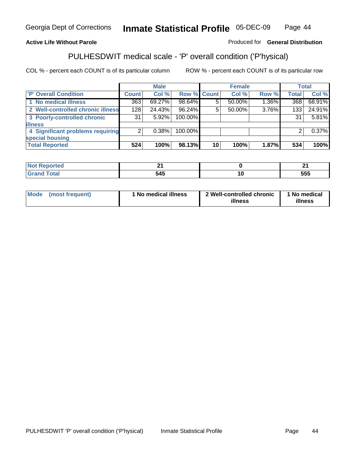# **Active Life Without Parole**

Produced for **General Distribution**

# PULHESDWIT medical scale - 'P' overall condition ('P'hysical)

|                                   |                | <b>Male</b> |             |    | <b>Female</b> |       |              | <b>Total</b> |
|-----------------------------------|----------------|-------------|-------------|----|---------------|-------|--------------|--------------|
| 'P' Overall Condition             | Count l        | Col %       | Row % Count |    | Col %         | Row % | <b>Total</b> | Col %        |
| 1 No medical illness              | 363            | 69.27%      | 98.64%      |    | 50.00%        | 1.36% | 368          | 68.91%       |
| 2 Well-controlled chronic illness | 128            | 24.43%      | 96.24%      |    | 50.00%        | 3.76% | 133          | 24.91%       |
| 3 Poorly-controlled chronic       | 31             | $5.92\%$    | 100.00%     |    |               |       | 31           | 5.81%        |
| <b>illness</b>                    |                |             |             |    |               |       |              |              |
| 4 Significant problems requiring  | $\overline{2}$ | $0.38\%$    | 100.00%     |    |               |       | 2            | 0.37%        |
| special housing                   |                |             |             |    |               |       |              |              |
| <b>Total Reported</b>             | 524            | 100%        | 98.13%      | 10 | 100%          | 1.87% | 534          | 100%         |

| . Reportea<br><b>NOL</b> | . .          | л.  |
|--------------------------|--------------|-----|
| ota.                     | - - -<br>545 | 555 |

| <b>Mode</b> | (most frequent) | ' No medical illness | 2 Well-controlled chronic<br>illness | 1 No medical<br>illness |
|-------------|-----------------|----------------------|--------------------------------------|-------------------------|
|-------------|-----------------|----------------------|--------------------------------------|-------------------------|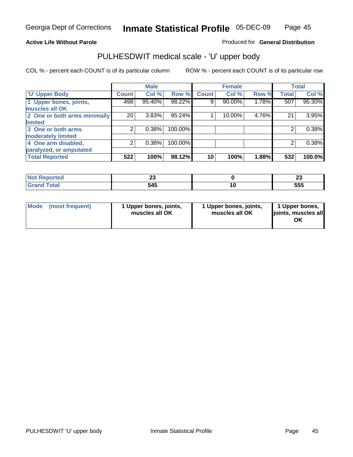## **Active Life Without Parole**

Produced for **General Distribution**

# PULHESDWIT medical scale - 'U' upper body

|                              |              | <b>Male</b> |         |              | <b>Female</b> |       |              | <b>Total</b> |
|------------------------------|--------------|-------------|---------|--------------|---------------|-------|--------------|--------------|
| <b>U' Upper Body</b>         | <b>Count</b> | Col %       | Row %   | <b>Count</b> | Col %         | Row % | <b>Total</b> | Col %        |
| 1 Upper bones, joints,       | 498          | 95.40%      | 98.22%  | 9            | 90.00%        | 1.78% | 507          | 95.30%       |
| muscles all OK               |              |             |         |              |               |       |              |              |
| 2 One or both arms minimally | 20           | 3.83%       | 95.24%  |              | 10.00%        | 4.76% | 21           | 3.95%        |
| limited                      |              |             |         |              |               |       |              |              |
| 3 One or both arms           | 2            | 0.38%       | 100.00% |              |               |       | 2            | 0.38%        |
| moderately limited           |              |             |         |              |               |       |              |              |
| 4 One arm disabled,          | 2            | 0.38%       | 100.00% |              |               |       | 2            | 0.38%        |
| paralyzed, or amputated      |              |             |         |              |               |       |              |              |
| <b>Total Reported</b>        | 522          | 100%        | 98.12%  | 10           | 100%          | 1.88% | 532          | 100.0%       |

| τeα               | $\sim$ | $\overline{ }$ |
|-------------------|--------|----------------|
| m.                | ∼      | ~              |
| $T \cap f \cap T$ | 545    | 555            |

|  | Mode (most frequent) | 1 Upper bones, joints,<br>muscles all OK | 1 Upper bones, joints,<br>muscles all OK | 1 Upper bones,<br>joints, muscles all<br>OK |
|--|----------------------|------------------------------------------|------------------------------------------|---------------------------------------------|
|--|----------------------|------------------------------------------|------------------------------------------|---------------------------------------------|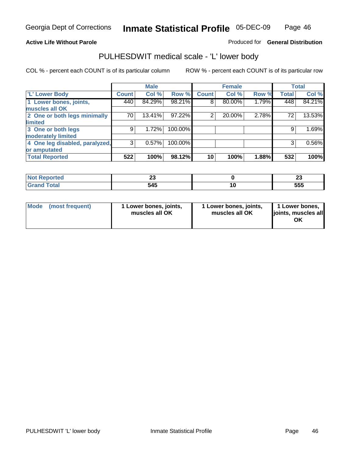#### **Active Life Without Parole**

#### Produced for **General Distribution**

# PULHESDWIT medical scale - 'L' lower body

|                                |              | <b>Male</b> |         |              | <b>Female</b> |       |              | <b>Total</b> |
|--------------------------------|--------------|-------------|---------|--------------|---------------|-------|--------------|--------------|
| 'L' Lower Body                 | <b>Count</b> | Col %       | Row %   | <b>Count</b> | Col %         | Row % | <b>Total</b> | Col %        |
| 1 Lower bones, joints,         | 440          | 84.29%      | 98.21%  | 8            | 80.00%        | 1.79% | 448          | 84.21%       |
| muscles all OK                 |              |             |         |              |               |       |              |              |
| 2 One or both legs minimally   | 70           | 13.41%      | 97.22%  | 2            | 20.00%        | 2.78% | 72           | 13.53%       |
| limited                        |              |             |         |              |               |       |              |              |
| 3 One or both legs             | 9            | 1.72%       | 100.00% |              |               |       | 9            | 1.69%        |
| moderately limited             |              |             |         |              |               |       |              |              |
| 4 One leg disabled, paralyzed, | 3            | 0.57%       | 100.00% |              |               |       | 3            | 0.56%        |
| or amputated                   |              |             |         |              |               |       |              |              |
| <b>Total Reported</b>          | 522          | 100%        | 98.12%  | 10           | 100%          | 1.88% | 532          | 100%         |

| чес  | n,<br>∼∽<br>$\sim$ | $\overline{ }$<br>ZJ |
|------|--------------------|----------------------|
| Utal | 545<br>, TV        | ccc<br>ວວວ           |

|  | Mode (most frequent) | 1 Lower bones, joints,<br>muscles all OK | 1 Lower bones, joints,<br>muscles all OK | 1 Lower bones,<br>joints, muscles all<br>OK |
|--|----------------------|------------------------------------------|------------------------------------------|---------------------------------------------|
|--|----------------------|------------------------------------------|------------------------------------------|---------------------------------------------|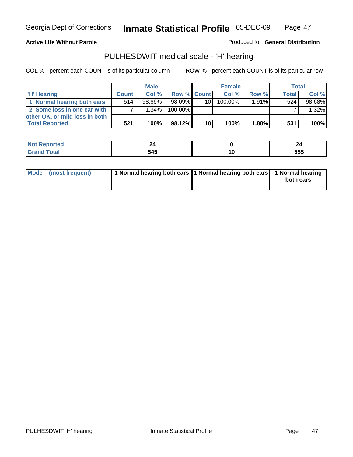#### **Active Life Without Parole**

Produced for **General Distribution**

# PULHESDWIT medical scale - 'H' hearing

|                                | <b>Male</b>  |           |             | <b>Female</b>   |         |          | <b>Total</b> |         |
|--------------------------------|--------------|-----------|-------------|-----------------|---------|----------|--------------|---------|
| 'H' Hearing                    | <b>Count</b> | Col%      | Row % Count |                 | Col%    | Row %    | <b>Total</b> | Col %   |
| 1 Normal hearing both ears     | 514          | $98.66\%$ | 98.09%      | 10 l            | 100.00% | $1.91\%$ | 524          | 98.68%  |
| 2 Some loss in one ear with    |              | $1.34\%$  | 100.00%     |                 |         |          |              | 1.32%   |
| other OK, or mild loss in both |              |           |             |                 |         |          |              |         |
| <b>Total Reported</b>          | 521          | 100%      | 98.12%      | 10 <sup>1</sup> | 100%    | 1.88%    | 531          | $100\%$ |

| .   |                           |           | - -        |
|-----|---------------------------|-----------|------------|
| --- | - - -<br>50<br>--<br>$ -$ | 10<br>$-$ | 555<br>JJJ |

| 1 Normal hearing both ears 1 Normal hearing both ears 1 Normal hearing<br>Mode (most frequent)<br>both ears |
|-------------------------------------------------------------------------------------------------------------|
|-------------------------------------------------------------------------------------------------------------|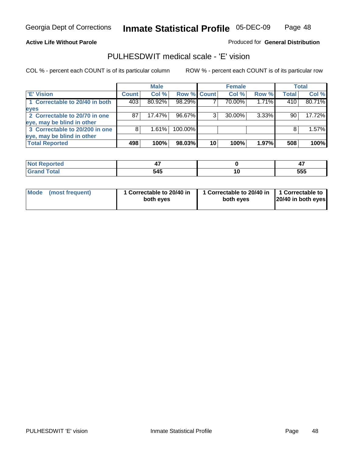### **Active Life Without Parole**

### Produced for **General Distribution**

# PULHESDWIT medical scale - 'E' vision

|                                |              | <b>Male</b> |             |    | <b>Female</b> |          |              | <b>Total</b> |
|--------------------------------|--------------|-------------|-------------|----|---------------|----------|--------------|--------------|
| <b>E' Vision</b>               | <b>Count</b> | Col %       | Row % Count |    | Col %         | Row %    | <b>Total</b> | Col %        |
| 1 Correctable to 20/40 in both | 403          | 80.92%      | 98.29%      |    | 70.00%        | 1.71%    | 410          | 80.71%       |
| eyes                           |              |             |             |    |               |          |              |              |
| 2 Correctable to 20/70 in one  | 87           | $17.47\%$   | 96.67%      |    | $30.00\%$     | $3.33\%$ | 90           | 17.72%       |
| eye, may be blind in other     |              |             |             |    |               |          |              |              |
| 3 Correctable to 20/200 in one | 8            | 1.61%       | 100.00%     |    |               |          | 8            | 1.57%        |
| eye, may be blind in other     |              |             |             |    |               |          |              |              |
| <b>Total Reported</b>          | 498          | 100%        | 98.03%      | 10 | 100%          | 1.97%    | 508          | 100%         |

|                                    | . . |    | .          |
|------------------------------------|-----|----|------------|
| $\sim$ $\sim$ $\sim$ $\sim$ $\sim$ | 545 | __ | ---<br>ວວວ |

| Mode (most frequent) | 1 Correctable to 20/40 in<br>both eyes | 1 Correctable to 20/40 in   1 Correctable to<br>both eves | 20/40 in both eyes |
|----------------------|----------------------------------------|-----------------------------------------------------------|--------------------|
|----------------------|----------------------------------------|-----------------------------------------------------------|--------------------|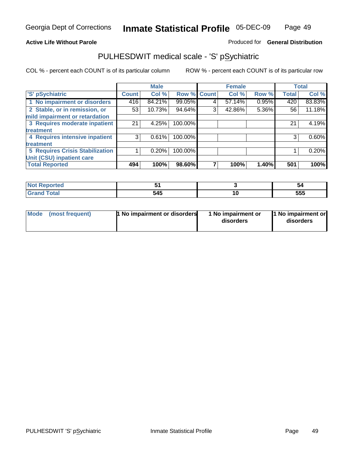### **Active Life Without Parole**

#### Produced for **General Distribution**

# PULHESDWIT medical scale - 'S' pSychiatric

|                                        |                    | <b>Male</b> |             |   | <b>Female</b> |       |              | <b>Total</b> |
|----------------------------------------|--------------------|-------------|-------------|---|---------------|-------|--------------|--------------|
| 'S' pSychiatric                        | Count <sup>1</sup> | Col %       | Row % Count |   | Col %         | Row % | <b>Total</b> | Col %        |
| 1 No impairment or disorders           | 416                | 84.21%      | 99.05%      | 4 | 57.14%        | 0.95% | 420          | 83.83%       |
| 2 Stable, or in remission, or          | 53                 | 10.73%      | 94.64%      | 3 | 42.86%        | 5.36% | 56           | 11.18%       |
| mild impairment or retardation         |                    |             |             |   |               |       |              |              |
| 3 Requires moderate inpatient          | 21                 | 4.25%       | 100.00%     |   |               |       | 21           | 4.19%        |
| treatment                              |                    |             |             |   |               |       |              |              |
| 4 Requires intensive inpatient         | 3                  | 0.61%       | 100.00%     |   |               |       | 3            | 0.60%        |
| treatment                              |                    |             |             |   |               |       |              |              |
| <b>5 Requires Crisis Stabilization</b> |                    | 0.20%       | 100.00%     |   |               |       |              | 0.20%        |
| Unit (CSU) inpatient care              |                    |             |             |   |               |       |              |              |
| <b>Total Reported</b>                  | 494                | 100%        | 98.60%      |   | 100%          | 1.40% | 501          | 100%         |

| A telo                               |     |    | 54  |
|--------------------------------------|-----|----|-----|
| $T = 4 - T$<br><b>Utal</b><br>------ | 545 | 10 | 555 |

| Mode | (most frequent) | <b>1</b> No impairment or disorders | 1 No impairment or<br>disorders | 1 No impairment or<br>disorders |
|------|-----------------|-------------------------------------|---------------------------------|---------------------------------|
|      |                 |                                     |                                 |                                 |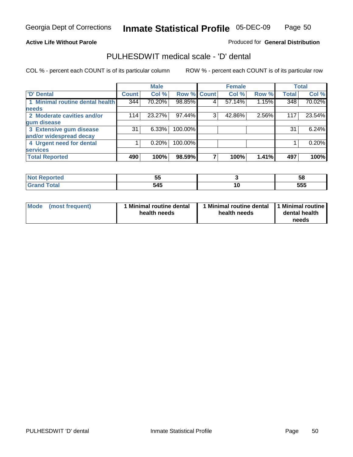#### **Active Life Without Parole**

Produced for **General Distribution**

# PULHESDWIT medical scale - 'D' dental

|                                 |              | <b>Male</b> |             |   | <b>Female</b> |       |              | <b>Total</b> |
|---------------------------------|--------------|-------------|-------------|---|---------------|-------|--------------|--------------|
| <b>D' Dental</b>                | <b>Count</b> | Col %       | Row % Count |   | Col %         | Row % | <b>Total</b> | Col %        |
| 1 Minimal routine dental health | 344          | 70.20%      | 98.85%      | 4 | 57.14%        | 1.15% | 348          | 70.02%       |
| <b>needs</b>                    |              |             |             |   |               |       |              |              |
| 2 Moderate cavities and/or      | 114          | 23.27%      | 97.44%      | 3 | 42.86%        | 2.56% | 117          | 23.54%       |
| gum disease                     |              |             |             |   |               |       |              |              |
| 3 Extensive gum disease         | 31           | 6.33%       | 100.00%     |   |               |       | 31           | 6.24%        |
| and/or widespread decay         |              |             |             |   |               |       |              |              |
| 4 Urgent need for dental        |              | 0.20%       | 100.00%     |   |               |       |              | 0.20%        |
| <b>services</b>                 |              |             |             |   |               |       |              |              |
| <b>Total Reported</b>           | 490          | 100%        | 98.59%      |   | 100%          | 1.41% | 497          | 100%         |

| <b>eported</b> | --<br>v. |     | วด          |
|----------------|----------|-----|-------------|
| <b>i</b> otal  | 545      | 1 V | ---<br>ີວວພ |

| <b>Mode</b><br>(most frequent) | <b>Minimal routine dental</b><br>health needs | 1 Minimal routine dental<br>health needs | 11 Minimal routine<br>dental health<br>needs |
|--------------------------------|-----------------------------------------------|------------------------------------------|----------------------------------------------|
|--------------------------------|-----------------------------------------------|------------------------------------------|----------------------------------------------|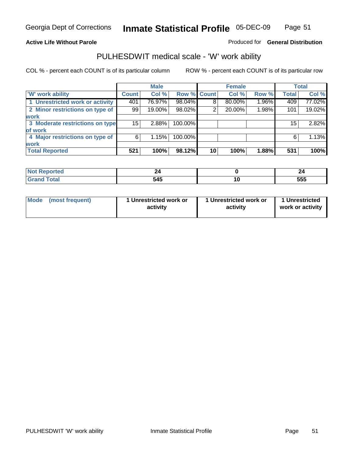#### **Active Life Without Parole**

#### Produced for **General Distribution**

# PULHESDWIT medical scale - 'W' work ability

|                                 |                 | <b>Male</b> |             |    | <b>Female</b> |       |              | <b>Total</b> |
|---------------------------------|-----------------|-------------|-------------|----|---------------|-------|--------------|--------------|
| <b>W' work ability</b>          | <b>Count</b>    | Col %       | Row % Count |    | Col %         | Row % | <b>Total</b> | Col %        |
| 1 Unrestricted work or activity | 401             | 76.97%      | 98.04%      | 8  | 80.00%        | 1.96% | 409          | 77.02%       |
| 2 Minor restrictions on type of | 99              | 19.00%      | 98.02%      | 2  | 20.00%        | 1.98% | 101          | 19.02%       |
| work                            |                 |             |             |    |               |       |              |              |
| 3 Moderate restrictions on type | 15 <sup>2</sup> | 2.88%       | 100.00%     |    |               |       | 15           | 2.82%        |
| of work                         |                 |             |             |    |               |       |              |              |
| 4 Major restrictions on type of | 6               | 1.15%       | 100.00%     |    |               |       | 6            | 1.13%        |
| <b>work</b>                     |                 |             |             |    |               |       |              |              |
| <b>Total Reported</b>           | 521             | 100%        | 98.12%      | 10 | 100%          | 1.88% | 531          | 100%         |

| المناسب      | _   |     | 49  |
|--------------|-----|-----|-----|
| onted        |     |     |     |
| <b>Total</b> | 545 | . v | 555 |

| Mode            | 1 Unrestricted work or | 1 Unrestricted work or | 1 Unrestricted   |
|-----------------|------------------------|------------------------|------------------|
| (most frequent) | activity               | activity               | work or activity |
|                 |                        |                        |                  |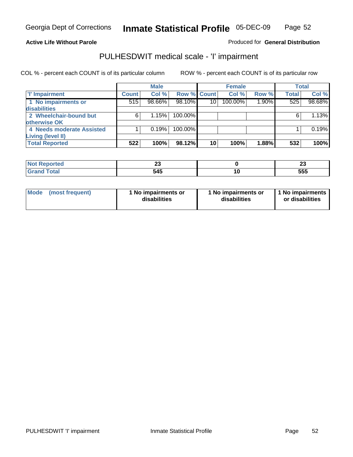### **Active Life Without Parole**

### Produced for **General Distribution**

# PULHESDWIT medical scale - 'I' impairment

|                           |              | <b>Male</b> |             |                 | <b>Female</b> |       |              | <b>Total</b> |
|---------------------------|--------------|-------------|-------------|-----------------|---------------|-------|--------------|--------------|
| <b>T' Impairment</b>      | <b>Count</b> | Col %       | Row % Count |                 | Col %         | Row % | <b>Total</b> | Col %        |
| 1 No impairments or       | 515          | 98.66%      | 98.10%      | 10 <sup>1</sup> | 100.00%       | 1.90% | 525          | 98.68%       |
| disabilities              |              |             |             |                 |               |       |              |              |
| 2 Wheelchair-bound but    | 6            | 1.15%       | 100.00%     |                 |               |       | 6            | 1.13%        |
| otherwise OK              |              |             |             |                 |               |       |              |              |
| 4 Needs moderate Assisted |              | 0.19%       | 100.00%     |                 |               |       |              | 0.19%        |
| Living (level II)         |              |             |             |                 |               |       |              |              |
| <b>Total Reported</b>     | 522          | 100%        | 98.12%      | 10              | 100%          | 1.88% | 532          | 100%         |

| eported | $\sim$<br>~<br>__ | $\overline{\phantom{a}}$<br>້∸ |
|---------|-------------------|--------------------------------|
| otal    | 515               | ---<br>ບບພ                     |

| Mode            | 1 No impairments or | 1 No impairments or | 1 No impairments |
|-----------------|---------------------|---------------------|------------------|
| (most frequent) | disabilities        | disabilities        | or disabilities  |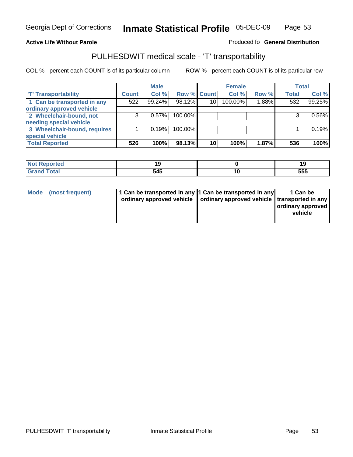#### **Inmate Statistical Profile** 05-DEC-09 Page Page 53

# **Active Life Without Parole Produced fo Seneral Distribution**

# PULHESDWIT medical scale - 'T' transportability

|                              |              | <b>Male</b> |             |    | <b>Female</b> |       |              | <b>Total</b> |
|------------------------------|--------------|-------------|-------------|----|---------------|-------|--------------|--------------|
| <b>T' Transportability</b>   | <b>Count</b> | Col %       | Row % Count |    | Col %         | Row % | <b>Total</b> | Col %        |
| 1 Can be transported in any  | 522          | 99.24%      | 98.12%      | 10 | 100.00%       | 1.88% | 532          | 99.25%       |
| ordinary approved vehicle    |              |             |             |    |               |       |              |              |
| 2 Wheelchair-bound, not      | 3            | 0.57%       | 100.00%     |    |               |       |              | 0.56%        |
| needing special vehicle      |              |             |             |    |               |       |              |              |
| 3 Wheelchair-bound, requires |              | 0.19%       | 100.00%     |    |               |       |              | 0.19%        |
| special vehicle              |              |             |             |    |               |       |              |              |
| <b>Total Reported</b>        | 526          | 100%        | 98.13%      | 10 | 100%          | 1.87% | 536          | 100%         |

| <b>Reported</b><br>וחשו | . . |   | . . |
|-------------------------|-----|---|-----|
| <b>c</b> otal<br>$\sim$ | 545 | ш | 555 |

| Mode (most frequent) | 1 Can be transported in any 1 Can be transported in any | ordinary approved vehicle   ordinary approved vehicle   transported in any | 1 Can be<br>ordinary approved<br>vehicle |
|----------------------|---------------------------------------------------------|----------------------------------------------------------------------------|------------------------------------------|
|----------------------|---------------------------------------------------------|----------------------------------------------------------------------------|------------------------------------------|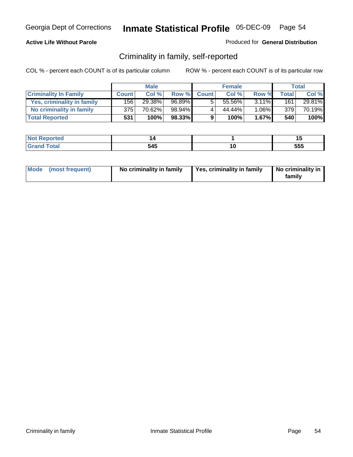### **Active Life Without Parole**

#### Produced for **General Distribution**

# Criminality in family, self-reported

|                              |              | <b>Male</b> |        |              | <b>Female</b> |          |              | Total  |
|------------------------------|--------------|-------------|--------|--------------|---------------|----------|--------------|--------|
| <b>Criminality In Family</b> | <b>Count</b> | Col %       | Row %  | <b>Count</b> | Col %         | Row %    | <b>Total</b> | Col %  |
| Yes, criminality in family   | 156          | 29.38%      | 96.89% | 5            | 55.56%        | $3.11\%$ | 161          | 29.81% |
| No criminality in family     | 375          | 70.62%      | 98.94% | 4            | 44.44%        | $1.06\%$ | 379          | 70.19% |
| <b>Total Reported</b>        | 531          | 100%        | 98.33% | 9            | 100%          | 1.67%    | 540          | 100%   |

| rtea |     |   |     |
|------|-----|---|-----|
| -    | 545 | u | 555 |

| Mode (most frequent) |  | No criminality in family | Yes, criminality in family | No criminality in<br>family |
|----------------------|--|--------------------------|----------------------------|-----------------------------|
|----------------------|--|--------------------------|----------------------------|-----------------------------|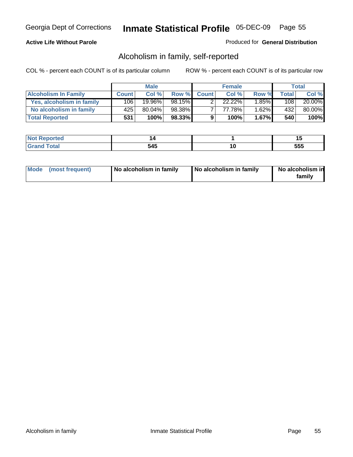### **Active Life Without Parole**

### Produced for **General Distribution**

# Alcoholism in family, self-reported

|                             |              | <b>Male</b> |        |              | <b>Female</b> |          |       | Total  |
|-----------------------------|--------------|-------------|--------|--------------|---------------|----------|-------|--------|
| <b>Alcoholism In Family</b> | <b>Count</b> | Col %       | Row %  | <b>Count</b> | Col %         | Row %    | Total | Col %  |
| Yes, alcoholism in family   | 106          | 19.96%      | 98.15% |              | $22.22\%$     | $1.85\%$ | 108   | 20.00% |
| No alcoholism in family     | 425          | 80.04%      | 98.38% |              | 77.78%        | $1.62\%$ | 432   | 80.00% |
| <b>Total Reported</b>       | 531          | 100%        | 98.33% | 9            | 100%          | $1.67\%$ | 540   | 100%   |

| rtea |     |   |     |
|------|-----|---|-----|
| -    | 545 | u | 555 |

|  | Mode (most frequent) | No alcoholism in family | No alcoholism in family | No alcoholism in<br>family |
|--|----------------------|-------------------------|-------------------------|----------------------------|
|--|----------------------|-------------------------|-------------------------|----------------------------|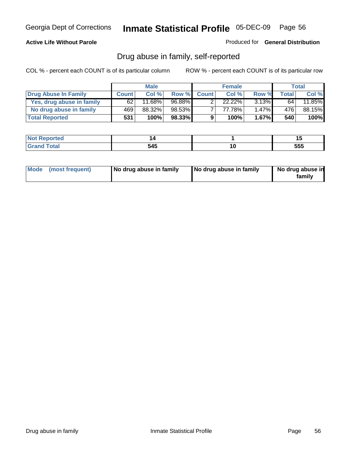### **Active Life Without Parole**

Produced for **General Distribution**

# Drug abuse in family, self-reported

|                           |              | <b>Male</b>          |        |              | <b>Female</b> |          |              | Total  |
|---------------------------|--------------|----------------------|--------|--------------|---------------|----------|--------------|--------|
| Drug Abuse In Family      | <b>Count</b> | Col%                 | Row %  | <b>Count</b> | Col %         | Row %    | <b>Total</b> | Col %  |
| Yes, drug abuse in family | 62           | $11.\overline{68\%}$ | 96.88% |              | 22.22%        | $3.13\%$ | 64           | 11.85% |
| No drug abuse in family   | 469          | 88.32%               | 98.53% |              | 77.78%        | $1.47\%$ | 476          | 88.15% |
| <b>Total Reported</b>     | 531          | 100%                 | 98.33% | 9            | 100%          | $1.67\%$ | 540          | 100%   |

| teto.  |     |    | . .<br> |
|--------|-----|----|---------|
| $\sim$ | 545 | ., | 555     |

|  | Mode (most frequent) | No drug abuse in family | No drug abuse in family | No drug abuse in<br>family |
|--|----------------------|-------------------------|-------------------------|----------------------------|
|--|----------------------|-------------------------|-------------------------|----------------------------|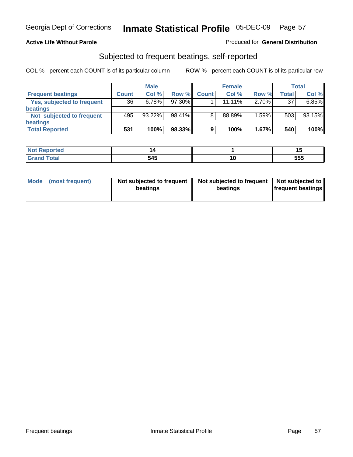### **Active Life Without Parole**

### Produced for **General Distribution**

# Subjected to frequent beatings, self-reported

|                            |              | <b>Male</b> |           |              | <b>Female</b> |       |       | <b>Total</b> |
|----------------------------|--------------|-------------|-----------|--------------|---------------|-------|-------|--------------|
| <b>Frequent beatings</b>   | <b>Count</b> | Col%        | Row %     | <b>Count</b> | Col%          | Row % | Total | Col %        |
| Yes, subjected to frequent | 36           | 6.78%       | $97.30\%$ |              | $11.11\%$     | 2.70% | 37    | 6.85%        |
| <b>beatings</b>            |              |             |           |              |               |       |       |              |
| Not subjected to frequent  | 495          | 93.22%      | 98.41%    | 8            | 88.89%        | 1.59% | 503   | 93.15%       |
| <b>beatings</b>            |              |             |           |              |               |       |       |              |
| <b>Total Reported</b>      | 531          | 100%        | 98.33%    | 9            | 100%          | 1.67% | 540   | 100%         |

| N <sub>of</sub><br>`enorted |     |                      |     |
|-----------------------------|-----|----------------------|-----|
| Total<br>$C$ ron            | 545 | w<br>$\cdot$ $\cdot$ | 555 |

| Mode (most frequent) | Not subjected to frequent<br>beatings | Not subjected to frequent<br>beatings | Not subjected to<br><b>frequent beatings</b> |  |
|----------------------|---------------------------------------|---------------------------------------|----------------------------------------------|--|
|                      |                                       |                                       |                                              |  |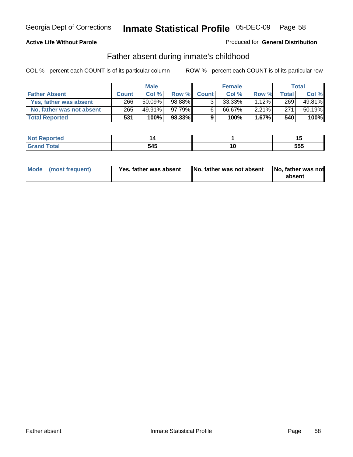### **Active Life Without Parole**

#### Produced for **General Distribution**

# Father absent during inmate's childhood

|                           |              | <b>Male</b> |           |                | <b>Female</b> |          |       | Total  |
|---------------------------|--------------|-------------|-----------|----------------|---------------|----------|-------|--------|
| <b>Father Absent</b>      | <b>Count</b> | Col%        | Row %     | <b>Count</b>   | Col %         | Row %    | Total | Col %  |
| Yes, father was absent    | 266          | 50.09%      | $98.88\%$ | 3 <sub>1</sub> | 33.33%        | 12%      | 269   | 49.81% |
| No, father was not absent | 265          | 49.91%      | 97.79% ∎  | $6^{\circ}$    | 66.67%        | $2.21\%$ | 271   | 50.19% |
| <b>Total Reported</b>     | 531          | $100\%$     | $98.33\%$ | 9              | 100%          | $1.67\%$ | 540   | 100%   |

| <b>Not Reported</b> |     |             |     |
|---------------------|-----|-------------|-----|
| <b>otal</b><br>Gran | 545 | u<br>$\sim$ | 555 |

| Mode (most frequent) | Yes, father was absent | No, father was not absent No, father was not | absent |
|----------------------|------------------------|----------------------------------------------|--------|
|                      |                        |                                              |        |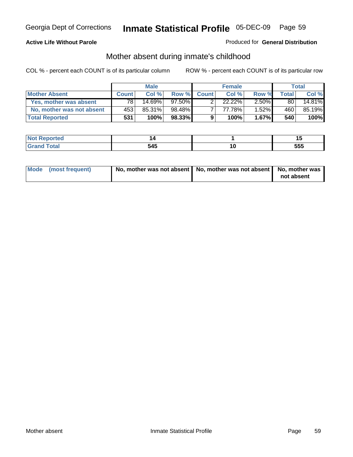### **Active Life Without Parole**

### Produced for **General Distribution**

# Mother absent during inmate's childhood

|                           |              | <b>Male</b> |           |              | <b>Female</b> |          |       | Total  |
|---------------------------|--------------|-------------|-----------|--------------|---------------|----------|-------|--------|
| <b>Mother Absent</b>      | <b>Count</b> | Col %       | Row %     | <b>Count</b> | Col%          | Row %    | Total | Col %  |
| Yes, mother was absent    | 78 I         | 14.69%      | $97.50\%$ |              | $22.22\%$     | $2.50\%$ | 80    | 14.81% |
| No, mother was not absent | 453          | 85.31%      | 98.48%    |              | 77.78%        | $1.52\%$ | 460   | 85.19% |
| <b>Total Reported</b>     | 531          | 100%        | $98.33\%$ | 9            | 100%          | $1.67\%$ | 540   | 100%   |

| <b>Not Reported</b> |     |             |     |
|---------------------|-----|-------------|-----|
| <b>otal</b><br>Gran | 545 | u<br>$\sim$ | 555 |

| Mode (most frequent) | No, mother was not absent   No, mother was not absent   No, mother was | not absent |
|----------------------|------------------------------------------------------------------------|------------|
|----------------------|------------------------------------------------------------------------|------------|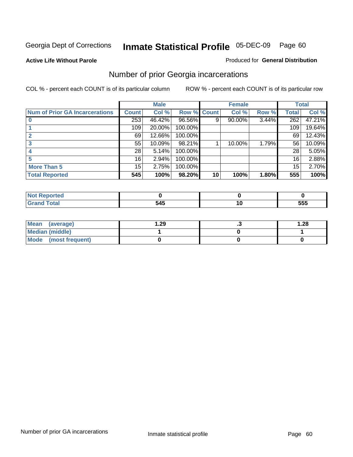**Active Life Without Parole** 

#### Produced for **General Distribution**

# Number of prior Georgia incarcerations

|                                |              | <b>Male</b> |                    |    | <b>Female</b> |       |       | <b>Total</b> |
|--------------------------------|--------------|-------------|--------------------|----|---------------|-------|-------|--------------|
| Num of Prior GA Incarcerations | <b>Count</b> | Col %       | <b>Row % Count</b> |    | Col %         | Row % | Total | Col %        |
|                                | 253          | 46.42%      | 96.56%             | 9  | 90.00%        | 3.44% | 262   | 47.21%       |
|                                | 109          | 20.00%      | 100.00%            |    |               |       | 109   | 19.64%       |
|                                | 69           | 12.66%      | 100.00%            |    |               |       | 69    | 12.43%       |
|                                | 55           | 10.09%      | 98.21%             |    | 10.00%        | 1.79% | 56    | 10.09%       |
|                                | 28           | 5.14%       | 100.00%            |    |               |       | 28    | 5.05%        |
|                                | 16           | 2.94%       | 100.00%            |    |               |       | 16    | 2.88%        |
| <b>More Than 5</b>             | 15           | 2.75%       | 100.00%            |    |               |       | 15    | 2.70%        |
| <b>Total Reported</b>          | 545          | 100%        | 98.20%             | 10 | 100%          | 1.80% | 555   | 100%         |

| <u>sseppried</u><br>w |   |             |
|-----------------------|---|-------------|
| otal<br>$\sim$        | . | ccc<br>່ວວວ |

| Mean (average)       | 29. ا | 1.28 |
|----------------------|-------|------|
| Median (middle)      |       |      |
| Mode (most frequent) |       |      |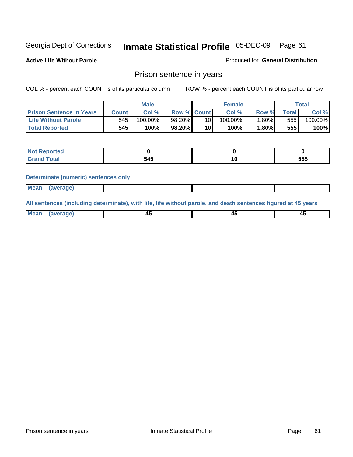**Active Life Without Parole** 

Produced for **General Distribution**

# Prison sentence in years

COL % - percent each COUNT is of its particular column ROW % - percent each COUNT is of its particular row

|                                 | <b>Male</b> |         |                    | <b>Female</b> |            |       | $\tau$ otal |         |
|---------------------------------|-------------|---------|--------------------|---------------|------------|-------|-------------|---------|
| <b>Prison Sentence In Years</b> | Count l     | Col %   | <b>Row % Count</b> |               | Col %      | Row % | $\tau$ otal | Col %   |
| <b>Life Without Parole</b>      | 545         | 100.00% | 98.20%             | 10            | $100.00\%$ | ا%80. | 555         | 100.00% |
| <b>Total Reported</b>           | 545         | 100%    | 98.20%             | 10            | 100%       | 1.80% | 555         | 100%    |

| Reported                                 |                       |    |     |
|------------------------------------------|-----------------------|----|-----|
| <b>Total</b><br>$\sim$ . $\sim$ . $\sim$ | $\overline{ }$<br>545 | יי | 555 |

#### **Determinate (numeric) sentences only**

| <b>Mean</b> | (average) |  |  |
|-------------|-----------|--|--|

**All sentences (including determinate), with life, life without parole, and death sentences figured at 45 years**

| M <sub>PA</sub><br>laverane | ᠇  |        | т.     |
|-----------------------------|----|--------|--------|
|                             | __ | $\sim$ | $\sim$ |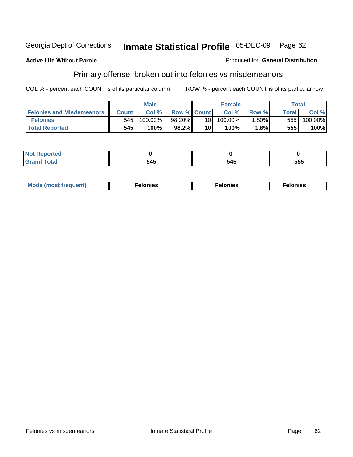#### **Active Life Without Parole**

#### Produced for **General Distribution**

# Primary offense, broken out into felonies vs misdemeanors

|                                  | <b>Male</b>  |         |                    |                 | <b>Female</b> | Total    |              |            |
|----------------------------------|--------------|---------|--------------------|-----------------|---------------|----------|--------------|------------|
| <b>Felonies and Misdemeanors</b> | <b>Count</b> | Col %   | <b>Row % Count</b> |                 | Col%          | Row %    | <b>Total</b> | Col%       |
| <b>Felonies</b>                  | 545          | 100.00% | 98.20%             | 10 <sup>1</sup> | $100.00\%$    | $1.80\%$ | 555          | $100.00\%$ |
| <b>Total Reported</b>            | 545          | 100%    | 98.2%              | 10              | 100%          | 1.8%     | 555          | 100%       |

| <b>Not</b><br><b>rted</b><br>. |           |              |     |
|--------------------------------|-----------|--------------|-----|
| Gra                            | МΚ<br>ידי | - - -<br>545 | 555 |

| M <sub>0</sub><br>. | צאור<br>. | . |
|---------------------|-----------|---|
|---------------------|-----------|---|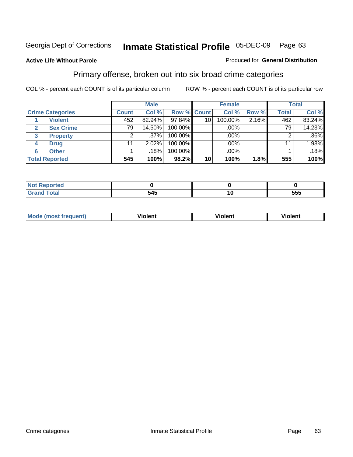#### **Active Life Without Parole**

#### Produced for **General Distribution**

# Primary offense, broken out into six broad crime categories

|                         | <b>Male</b>     |         |             | <b>Female</b> |         |          | <b>Total</b> |         |  |
|-------------------------|-----------------|---------|-------------|---------------|---------|----------|--------------|---------|--|
| <b>Crime Categories</b> | <b>Count</b>    | Col %   | Row % Count |               | Col %   | Row %    | <b>Total</b> | Col %   |  |
| <b>Violent</b>          | 452             | 82.94%  | 97.84%      | 10            | 100.00% | $2.16\%$ | 462          | 83.24%  |  |
| <b>Sex Crime</b><br>2   | 79 <sub>1</sub> | 14.50%  | 100.00%     |               | .00%    |          | 791          | 14.23%  |  |
| 3<br><b>Property</b>    |                 | $.37\%$ | 100.00%     |               | .00%    |          |              | $.36\%$ |  |
| <b>Drug</b><br>4        | 11              | 2.02%   | 100.00%     |               | .00%    |          | 11           | 1.98%   |  |
| <b>Other</b><br>6       |                 | $.18\%$ | 100.00%     |               | .00%    |          |              | .18%    |  |
| <b>Total Reported</b>   | 545             | 100%    | 98.2%       | 10            | 100%    | 1.8%     | 555          | 100%    |  |

| <u>orted</u><br>'NH<br>. |     |    |     |
|--------------------------|-----|----|-----|
| $f \wedge f \wedge f$    | 545 | 10 | 555 |

| Mo | n n | winlor" | ılen' |
|----|-----|---------|-------|
|    |     |         |       |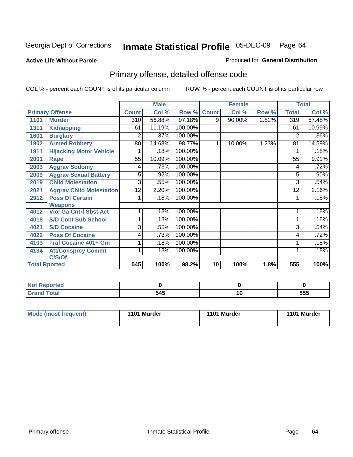#### **Active Life Without Parole**

#### Produced for **General Distribution**

# Primary offense, detailed offense code

|      |                                 |              | <b>Male</b> |         |                    | <b>Female</b> |       |                | <b>Total</b> |
|------|---------------------------------|--------------|-------------|---------|--------------------|---------------|-------|----------------|--------------|
|      | <b>Primary Offense</b>          | <b>Count</b> | Col %       |         | <b>Row % Count</b> | Col %         | Row % | <b>Total</b>   | Col %        |
| 1101 | <b>Murder</b>                   | 310          | 56.88%      | 97.18%  | 9                  | 90.00%        | 2.82% | 319            | 57.48%       |
| 1311 | <b>Kidnapping</b>               | 61           | 11.19%      | 100.00% |                    |               |       | 61             | 10.99%       |
| 1601 | <b>Burglary</b>                 | 2            | .37%        | 100.00% |                    |               |       | $\overline{2}$ | .36%         |
| 1902 | <b>Armed Robbery</b>            | 80           | 14.68%      | 98.77%  |                    | 10.00%        | 1.23% | 81             | 14.59%       |
| 1911 | <b>Hijacking Motor Vehicle</b>  |              | .18%        | 100.00% |                    |               |       |                | .18%         |
| 2001 | Rape                            | 55           | 10.09%      | 100.00% |                    |               |       | 55             | 9.91%        |
| 2003 | <b>Aggrav Sodomy</b>            | 4            | .73%        | 100.00% |                    |               |       | 4              | .72%         |
| 2009 | <b>Aggrav Sexual Battery</b>    | 5            | .92%        | 100.00% |                    |               |       | 5              | .90%         |
| 2019 | <b>Child Molestation</b>        | 3            | .55%        | 100.00% |                    |               |       | 3              | .54%         |
| 2021 | <b>Aggrav Child Molestation</b> | 12           | 2.20%       | 100.00% |                    |               |       | 12             | 2.16%        |
| 2912 | <b>Poss Of Certain</b>          |              | .18%        | 100.00% |                    |               |       |                | .18%         |
|      | <b>Weapons</b>                  |              |             |         |                    |               |       |                |              |
| 4012 | <b>Viol Ga Cntrl Sbst Act</b>   | 1            | .18%        | 100.00% |                    |               |       |                | .18%         |
| 4018 | <b>S/D Cont Sub School</b>      | 1            | .18%        | 100.00% |                    |               |       | 1              | .18%         |
| 4021 | <b>S/D Cocaine</b>              | 3            | .55%        | 100.00% |                    |               |       | 3              | .54%         |
| 4022 | <b>Poss Of Cocaine</b>          | 4            | .73%        | 100.00% |                    |               |       | 4              | .72%         |
| 4103 | <b>Traf Cocaine 401+ Gm</b>     |              | .18%        | 100.00% |                    |               |       |                | .18%         |
| 4134 | <b>Att/Consprcy Commt</b>       | 1            | .18%        | 100.00% |                    |               |       |                | .18%         |
|      | C/S/Of                          |              |             |         |                    |               |       |                |              |
|      | <b>Total Rported</b>            | 545          | 100%        | 98.2%   | 10                 | 100%          | 1.8%  | 555            | 100%         |

| <b>Not</b><br>: Reported    |     |    |     |
|-----------------------------|-----|----|-----|
| <b>Fotal</b><br><b>Grar</b> | 545 | ı. | 555 |

| Mode (most frequent) | 1101 Murder | 1101 Murder | 1101 Murder |
|----------------------|-------------|-------------|-------------|
|                      |             |             |             |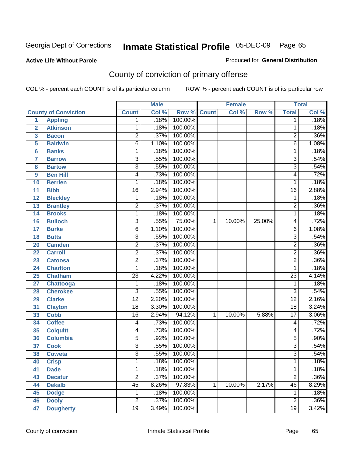**Active Life Without Parole** 

Produced for **General Distribution**

# County of conviction of primary offense

|                         |                             | <b>Male</b>             |       | <b>Female</b>      |   |        | <b>Total</b> |                 |                            |
|-------------------------|-----------------------------|-------------------------|-------|--------------------|---|--------|--------------|-----------------|----------------------------|
|                         | <b>County of Conviction</b> | <b>Count</b>            | Col % | <b>Row % Count</b> |   | Col %  | Row %        | <b>Total</b>    | $\overline{\text{Col }\%}$ |
| 1                       | <b>Appling</b>              | 1                       | .18%  | 100.00%            |   |        |              | 1               | .18%                       |
| $\overline{2}$          | <b>Atkinson</b>             | 1                       | .18%  | 100.00%            |   |        |              | 1               | .18%                       |
| $\overline{\mathbf{3}}$ | <b>Bacon</b>                | $\overline{2}$          | .37%  | 100.00%            |   |        |              | 2               | .36%                       |
| 5                       | <b>Baldwin</b>              | $\overline{6}$          | 1.10% | 100.00%            |   |        |              | $\overline{6}$  | 1.08%                      |
| $6\phantom{a}$          | <b>Banks</b>                | 1                       | .18%  | 100.00%            |   |        |              | 1               | .18%                       |
| 7                       | <b>Barrow</b>               | $\overline{3}$          | .55%  | 100.00%            |   |        |              | $\overline{3}$  | .54%                       |
| 8                       | <b>Bartow</b>               | $\overline{3}$          | .55%  | 100.00%            |   |        |              | $\overline{3}$  | .54%                       |
| 9                       | <b>Ben Hill</b>             | 4                       | .73%  | 100.00%            |   |        |              | 4               | .72%                       |
| 10                      | <b>Berrien</b>              | 1                       | .18%  | 100.00%            |   |        |              | 1               | .18%                       |
| 11                      | <b>Bibb</b>                 | $\overline{16}$         | 2.94% | 100.00%            |   |        |              | $\overline{16}$ | 2.88%                      |
| 12                      | <b>Bleckley</b>             | 1                       | .18%  | 100.00%            |   |        |              | 1               | .18%                       |
| 13                      | <b>Brantley</b>             | $\overline{2}$          | .37%  | 100.00%            |   |        |              | $\overline{2}$  | .36%                       |
| 14                      | <b>Brooks</b>               | 1                       | .18%  | 100.00%            |   |        |              | 1               | .18%                       |
| 16                      | <b>Bulloch</b>              | $\overline{3}$          | .55%  | 75.00%             | 1 | 10.00% | 25.00%       | 4               | .72%                       |
| 17                      | <b>Burke</b>                | 6                       | 1.10% | 100.00%            |   |        |              | 6               | 1.08%                      |
| 18                      | <b>Butts</b>                | $\overline{3}$          | .55%  | 100.00%            |   |        |              | $\overline{3}$  | .54%                       |
| 20                      | <b>Camden</b>               | $\overline{2}$          | .37%  | 100.00%            |   |        |              | $\overline{2}$  | .36%                       |
| 22                      | <b>Carroll</b>              | $\overline{2}$          | .37%  | 100.00%            |   |        |              | $\overline{2}$  | .36%                       |
| 23                      | <b>Catoosa</b>              | $\overline{2}$          | .37%  | 100.00%            |   |        |              | $\overline{2}$  | .36%                       |
| 24                      | <b>Charlton</b>             | 1                       | .18%  | 100.00%            |   |        |              | 1               | .18%                       |
| 25                      | <b>Chatham</b>              | $\overline{23}$         | 4.22% | 100.00%            |   |        |              | $\overline{23}$ | 4.14%                      |
| 27                      | Chattooga                   | 1                       | .18%  | 100.00%            |   |        |              | 1               | .18%                       |
| 28                      | <b>Cherokee</b>             | 3                       | .55%  | 100.00%            |   |        |              | 3               | .54%                       |
| 29                      | <b>Clarke</b>               | $\overline{12}$         | 2.20% | 100.00%            |   |        |              | $\overline{12}$ | 2.16%                      |
| 31                      | <b>Clayton</b>              | $\overline{18}$         | 3.30% | 100.00%            |   |        |              | 18              | 3.24%                      |
| 33                      | <b>Cobb</b>                 | $\overline{16}$         | 2.94% | 94.12%             | 1 | 10.00% | 5.88%        | $\overline{17}$ | 3.06%                      |
| 34                      | <b>Coffee</b>               | 4                       | .73%  | 100.00%            |   |        |              | 4               | .72%                       |
| 35                      | <b>Colquitt</b>             | 4                       | .73%  | 100.00%            |   |        |              | 4               | .72%                       |
| 36                      | <b>Columbia</b>             | 5                       | .92%  | 100.00%            |   |        |              | $\overline{5}$  | .90%                       |
| 37                      | <b>Cook</b>                 | $\overline{3}$          | .55%  | 100.00%            |   |        |              | $\overline{3}$  | .54%                       |
| 38                      | <b>Coweta</b>               | $\overline{3}$          | .55%  | 100.00%            |   |        |              | $\overline{3}$  | .54%                       |
| 40                      | <b>Crisp</b>                | 1                       | .18%  | 100.00%            |   |        |              | 1               | .18%                       |
| 41                      | <b>Dade</b>                 | 1                       | .18%  | 100.00%            |   |        |              | 1               | .18%                       |
| 43                      | <b>Decatur</b>              | $\overline{2}$          | .37%  | 100.00%            |   |        |              | $\overline{2}$  | .36%                       |
| 44                      | <b>Dekalb</b>               | $\overline{45}$         | 8.26% | 97.83%             | 1 | 10.00% | 2.17%        | 46              | 8.29%                      |
| 45                      | <b>Dodge</b>                | 1                       | .18%  | 100.00%            |   |        |              | 1               | .18%                       |
| 46                      | <b>Dooly</b>                | $\overline{\mathbf{c}}$ | .37%  | 100.00%            |   |        |              | $\overline{2}$  | .36%                       |
| 47                      | <b>Dougherty</b>            | $\overline{19}$         | 3.49% | 100.00%            |   |        |              | $\overline{19}$ | 3.42%                      |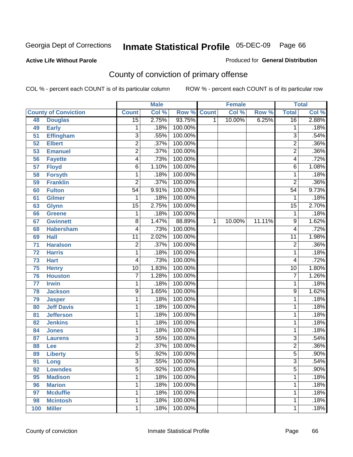Produced for **General Distribution**

### **Active Life Without Parole**

# County of conviction of primary offense

|     |                             |                         | <b>Male</b> |                    | <b>Female</b> |        |        | <b>Total</b>    |       |
|-----|-----------------------------|-------------------------|-------------|--------------------|---------------|--------|--------|-----------------|-------|
|     | <b>County of Conviction</b> | <b>Count</b>            | Col %       | <b>Row % Count</b> |               | Col %  | Row %  | <b>Total</b>    | Col % |
| 48  | <b>Douglas</b>              | $\overline{15}$         | 2.75%       | 93.75%             | 1             | 10.00% | 6.25%  | 16              | 2.88% |
| 49  | <b>Early</b>                | 1                       | .18%        | 100.00%            |               |        |        | 1               | .18%  |
| 51  | <b>Effingham</b>            | $\overline{3}$          | .55%        | 100.00%            |               |        |        | 3               | .54%  |
| 52  | <b>Elbert</b>               | $\overline{2}$          | .37%        | 100.00%            |               |        |        | $\overline{2}$  | .36%  |
| 53  | <b>Emanuel</b>              | $\overline{2}$          | .37%        | 100.00%            |               |        |        | $\overline{2}$  | .36%  |
| 56  | <b>Fayette</b>              | $\overline{\mathbf{4}}$ | .73%        | 100.00%            |               |        |        | 4               | .72%  |
| 57  | <b>Floyd</b>                | $\overline{6}$          | 1.10%       | 100.00%            |               |        |        | 6               | 1.08% |
| 58  | <b>Forsyth</b>              | 1                       | .18%        | 100.00%            |               |        |        | 1               | .18%  |
| 59  | <b>Franklin</b>             | $\overline{2}$          | .37%        | 100.00%            |               |        |        | $\overline{2}$  | .36%  |
| 60  | <b>Fulton</b>               | $\overline{54}$         | 9.91%       | 100.00%            |               |        |        | $\overline{54}$ | 9.73% |
| 61  | <b>Gilmer</b>               | 1                       | .18%        | 100.00%            |               |        |        | 1               | .18%  |
| 63  | <b>Glynn</b>                | $\overline{15}$         | 2.75%       | 100.00%            |               |        |        | $\overline{15}$ | 2.70% |
| 66  | <b>Greene</b>               | 1                       | .18%        | 100.00%            |               |        |        | 1               | .18%  |
| 67  | <b>Gwinnett</b>             | 8                       | 1.47%       | 88.89%             | 1             | 10.00% | 11.11% | $\overline{9}$  | 1.62% |
| 68  | <b>Habersham</b>            | 4                       | .73%        | 100.00%            |               |        |        | 4               | .72%  |
| 69  | <b>Hall</b>                 | 11                      | 2.02%       | 100.00%            |               |        |        | $\overline{11}$ | 1.98% |
| 71  | <b>Haralson</b>             | $\overline{2}$          | .37%        | 100.00%            |               |        |        | $\overline{2}$  | .36%  |
| 72  | <b>Harris</b>               | 1                       | .18%        | 100.00%            |               |        |        | 1               | .18%  |
| 73  | <b>Hart</b>                 | $\overline{4}$          | .73%        | 100.00%            |               |        |        | 4               | .72%  |
| 75  | <b>Henry</b>                | $\overline{10}$         | 1.83%       | 100.00%            |               |        |        | $\overline{10}$ | 1.80% |
| 76  | <b>Houston</b>              | 7                       | 1.28%       | 100.00%            |               |        |        | 7               | 1.26% |
| 77  | <b>Irwin</b>                | 1                       | .18%        | 100.00%            |               |        |        | 1               | .18%  |
| 78  | <b>Jackson</b>              | 9                       | 1.65%       | 100.00%            |               |        |        | 9               | 1.62% |
| 79  | <b>Jasper</b>               | 1                       | .18%        | 100.00%            |               |        |        | 1               | .18%  |
| 80  | <b>Jeff Davis</b>           | 1                       | .18%        | 100.00%            |               |        |        | 1               | .18%  |
| 81  | <b>Jefferson</b>            | 1                       | .18%        | 100.00%            |               |        |        | 1               | .18%  |
| 82  | <b>Jenkins</b>              | 1                       | .18%        | 100.00%            |               |        |        | 1               | .18%  |
| 84  | <b>Jones</b>                | 1                       | .18%        | 100.00%            |               |        |        | 1               | .18%  |
| 87  | <b>Laurens</b>              | $\overline{3}$          | .55%        | 100.00%            |               |        |        | $\overline{3}$  | .54%  |
| 88  | Lee                         | $\overline{2}$          | .37%        | 100.00%            |               |        |        | $\overline{2}$  | .36%  |
| 89  | <b>Liberty</b>              | $\overline{5}$          | .92%        | 100.00%            |               |        |        | $\overline{5}$  | .90%  |
| 91  | Long                        | $\overline{3}$          | .55%        | 100.00%            |               |        |        | $\overline{3}$  | .54%  |
| 92  | <b>Lowndes</b>              | $\overline{5}$          | .92%        | 100.00%            |               |        |        | $\overline{5}$  | .90%  |
| 95  | <b>Madison</b>              | 1                       | .18%        | 100.00%            |               |        |        | $\mathbf{1}$    | .18%  |
| 96  | <b>Marion</b>               | 1                       | .18%        | 100.00%            |               |        |        | $\mathbf 1$     | .18%  |
| 97  | <b>Mcduffie</b>             | 1                       | .18%        | 100.00%            |               |        |        | 1               | .18%  |
| 98  | <b>Mcintosh</b>             | 1                       | .18%        | 100.00%            |               |        |        | 1               | .18%  |
| 100 | <b>Miller</b>               | $\mathbf{1}$            | .18%        | 100.00%            |               |        |        | 1               | .18%  |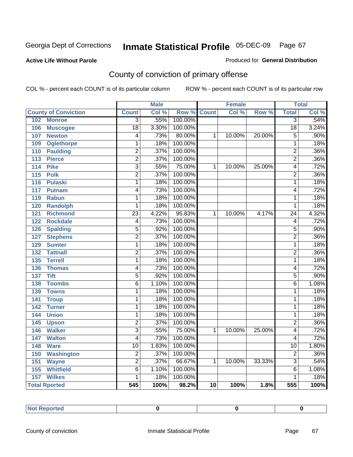#### **Active Life Without Parole**

#### Produced for **General Distribution**

# County of conviction of primary offense

|                                     |                           | <b>Male</b> |         |              | <b>Female</b> |        |                  | <b>Total</b> |
|-------------------------------------|---------------------------|-------------|---------|--------------|---------------|--------|------------------|--------------|
| <b>County of Conviction</b>         | <b>Count</b>              | Col %       | Row %   | <b>Count</b> | Col %         | Row %  | <b>Total</b>     | Col %        |
| 102<br><b>Monroe</b>                | $\overline{3}$            | .55%        | 100.00% |              |               |        | $\overline{3}$   | .54%         |
| 106<br><b>Muscogee</b>              | $\overline{18}$           | 3.30%       | 100.00% |              |               |        | $\overline{18}$  | 3.24%        |
| 107<br><b>Newton</b>                | 4                         | .73%        | 80.00%  | 1            | 10.00%        | 20.00% | $\overline{5}$   | .90%         |
| 109<br><b>Oglethorpe</b>            | 1                         | .18%        | 100.00% |              |               |        | $\overline{1}$   | .18%         |
| 110<br><b>Paulding</b>              | $\overline{2}$            | .37%        | 100.00% |              |               |        | $\overline{2}$   | .36%         |
| $\overline{113}$<br><b>Pierce</b>   | $\overline{2}$            | .37%        | 100.00% |              |               |        | $\overline{2}$   | .36%         |
| <b>Pike</b><br>114                  | $\overline{3}$            | .55%        | 75.00%  | 1            | 10.00%        | 25.00% | $\overline{4}$   | .72%         |
| <b>Polk</b><br>$\overline{115}$     | $\overline{2}$            | .37%        | 100.00% |              |               |        | $\overline{2}$   | .36%         |
| 116<br><b>Pulaski</b>               | $\overline{1}$            | .18%        | 100.00% |              |               |        | $\overline{1}$   | .18%         |
| 117<br>Putnam                       | 4                         | .73%        | 100.00% |              |               |        | 4                | .72%         |
| 119<br><b>Rabun</b>                 | $\overline{1}$            | .18%        | 100.00% |              |               |        | $\overline{1}$   | .18%         |
| 120<br><b>Randolph</b>              | $\overline{1}$            | .18%        | 100.00% |              |               |        | $\mathbf{1}$     | .18%         |
| $\overline{121}$<br><b>Richmond</b> | $\overline{23}$           | 4.22%       | 95.83%  | 1            | 10.00%        | 4.17%  | $\overline{24}$  | 4.32%        |
| <b>Rockdale</b><br>122              | $\overline{4}$            | .73%        | 100.00% |              |               |        | $\overline{4}$   | .72%         |
| <b>Spalding</b><br>126              | $\overline{5}$            | .92%        | 100.00% |              |               |        | $\overline{5}$   | .90%         |
| <b>Stephens</b><br>127              | $\overline{2}$            | .37%        | 100.00% |              |               |        | $\overline{2}$   | .36%         |
| 129<br><b>Sumter</b>                | 1                         | .18%        | 100.00% |              |               |        | 1                | .18%         |
| <b>Tattnall</b><br>132              | $\overline{2}$            | .37%        | 100.00% |              |               |        | $\overline{2}$   | .36%         |
| <b>Terrell</b><br>135               | $\overline{1}$            | .18%        | 100.00% |              |               |        | $\mathbf{1}$     | .18%         |
| 136<br><b>Thomas</b>                | 4                         | .73%        | 100.00% |              |               |        | 4                | .72%         |
| 137<br><b>Tift</b>                  | $\overline{5}$            | .92%        | 100.00% |              |               |        | $\overline{5}$   | .90%         |
| <b>Toombs</b><br>138                | $\overline{6}$            | 1.10%       | 100.00% |              |               |        | 6                | 1.08%        |
| <b>Towns</b><br>139                 | 1                         | .18%        | 100.00% |              |               |        | $\mathbf{1}$     | .18%         |
| $\overline{141}$<br><b>Troup</b>    | $\overline{1}$            | .18%        | 100.00% |              |               |        | $\mathbf{1}$     | .18%         |
| 142<br><b>Turner</b>                | 1                         | .18%        | 100.00% |              |               |        | $\mathbf{1}$     | .18%         |
| <b>Union</b><br>144                 | 1                         | .18%        | 100.00% |              |               |        | $\mathbf{1}$     | .18%         |
| 145<br><b>Upson</b>                 | $\overline{2}$            | .37%        | 100.00% |              |               |        | $\overline{2}$   | .36%         |
| <b>Walker</b><br>146                | $\overline{\overline{3}}$ | .55%        | 75.00%  | 1            | 10.00%        | 25.00% | 4                | .72%         |
| <b>Walton</b><br>147                | 4                         | .73%        | 100.00% |              |               |        | 4                | .72%         |
| 148<br><b>Ware</b>                  | $\overline{10}$           | 1.83%       | 100.00% |              |               |        | $\overline{10}$  | 1.80%        |
| 150<br><b>Washington</b>            | $\overline{2}$            | .37%        | 100.00% |              |               |        | $\overline{2}$   | .36%         |
| 151<br><b>Wayne</b>                 | $\overline{2}$            | .37%        | 66.67%  | 1            | 10.00%        | 33.33% | $\overline{3}$   | .54%         |
| 155<br><b>Whitfield</b>             | $\overline{6}$            | 1.10%       | 100.00% |              |               |        | 6                | 1.08%        |
| $\overline{157}$<br><b>Wilkes</b>   | $\overline{1}$            | .18%        | 100.00% |              |               |        | $\overline{1}$   | .18%         |
| <b>Total Rported</b>                | $\overline{545}$          | 100%        | 98.2%   | 10           | 100%          | 1.8%   | $\overline{555}$ | 100%         |

| <b>Not Reported</b><br>___ |  |  |  |
|----------------------------|--|--|--|
|----------------------------|--|--|--|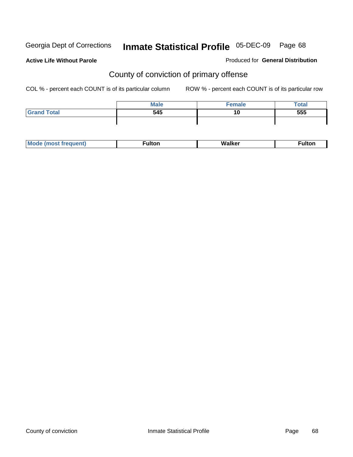**Active Life Without Parole** 

Produced for **General Distribution**

# County of conviction of primary offense

|                    | <b>Male</b> | <b>Female</b> | <b>Total</b> |
|--------------------|-------------|---------------|--------------|
| <b>Grand Total</b> | 545         | 10            | 555          |
|                    |             |               |              |

| M |  | <b>Walk</b> |  |
|---|--|-------------|--|
|---|--|-------------|--|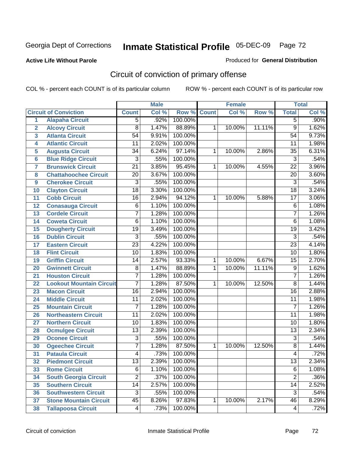### **Active Life Without Parole**

#### Produced for **General Distribution**

# Circuit of conviction of primary offense

|                         |                                 |                 | <b>Male</b> |         |              | <b>Female</b> |        |                 | <b>Total</b> |
|-------------------------|---------------------------------|-----------------|-------------|---------|--------------|---------------|--------|-----------------|--------------|
|                         | <b>Circuit of Conviction</b>    | <b>Count</b>    | Col %       | Row %   | <b>Count</b> | Col %         | Row %  | <b>Total</b>    | Col %        |
| 1                       | <b>Alapaha Circuit</b>          | 5               | .92%        | 100.00% |              |               |        | $\overline{5}$  | $.90\%$      |
| $\overline{2}$          | <b>Alcovy Circuit</b>           | $\overline{8}$  | 1.47%       | 88.89%  | 1            | 10.00%        | 11.11% | $\overline{9}$  | 1.62%        |
| $\overline{\mathbf{3}}$ | <b>Atlanta Circuit</b>          | $\overline{54}$ | 9.91%       | 100.00% |              |               |        | $\overline{54}$ | 9.73%        |
| 4                       | <b>Atlantic Circuit</b>         | $\overline{11}$ | 2.02%       | 100.00% |              |               |        | $\overline{11}$ | 1.98%        |
| 5                       | <b>Augusta Circuit</b>          | $\overline{34}$ | 6.24%       | 97.14%  | 1            | 10.00%        | 2.86%  | $\overline{35}$ | 6.31%        |
| $6\overline{6}$         | <b>Blue Ridge Circuit</b>       | $\overline{3}$  | .55%        | 100.00% |              |               |        | $\overline{3}$  | .54%         |
| $\overline{\mathbf{7}}$ | <b>Brunswick Circuit</b>        | $\overline{21}$ | 3.85%       | 95.45%  | 1            | 10.00%        | 4.55%  | $\overline{22}$ | 3.96%        |
| 8                       | <b>Chattahoochee Circuit</b>    | $\overline{20}$ | 3.67%       | 100.00% |              |               |        | 20              | 3.60%        |
| 9                       | <b>Cherokee Circuit</b>         | $\overline{3}$  | .55%        | 100.00% |              |               |        | $\overline{3}$  | .54%         |
| 10                      | <b>Clayton Circuit</b>          | $\overline{18}$ | 3.30%       | 100.00% |              |               |        | $\overline{18}$ | 3.24%        |
| 11                      | <b>Cobb Circuit</b>             | $\overline{16}$ | 2.94%       | 94.12%  | 1            | 10.00%        | 5.88%  | $\overline{17}$ | 3.06%        |
| 12                      | <b>Conasauga Circuit</b>        | $\overline{6}$  | 1.10%       | 100.00% |              |               |        | $\overline{6}$  | 1.08%        |
| 13                      | <b>Cordele Circuit</b>          | 7               | 1.28%       | 100.00% |              |               |        | $\overline{7}$  | 1.26%        |
| 14                      | <b>Coweta Circuit</b>           | $\overline{6}$  | 1.10%       | 100.00% |              |               |        | 6               | 1.08%        |
| 15                      | <b>Dougherty Circuit</b>        | $\overline{19}$ | 3.49%       | 100.00% |              |               |        | $\overline{19}$ | 3.42%        |
| 16                      | <b>Dublin Circuit</b>           | $\overline{3}$  | .55%        | 100.00% |              |               |        | $\overline{3}$  | .54%         |
| 17                      | <b>Eastern Circuit</b>          | $\overline{23}$ | 4.22%       | 100.00% |              |               |        | $\overline{23}$ | 4.14%        |
| 18                      | <b>Flint Circuit</b>            | $\overline{10}$ | 1.83%       | 100.00% |              |               |        | $\overline{10}$ | 1.80%        |
| 19                      | <b>Griffin Circuit</b>          | 14              | 2.57%       | 93.33%  | 1            | 10.00%        | 6.67%  | $\overline{15}$ | 2.70%        |
| 20                      | <b>Gwinnett Circuit</b>         | $\overline{8}$  | 1.47%       | 88.89%  | 1            | 10.00%        | 11.11% | $\overline{9}$  | 1.62%        |
| 21                      | <b>Houston Circuit</b>          | 7               | 1.28%       | 100.00% |              |               |        | $\overline{7}$  | 1.26%        |
| 22                      | <b>Lookout Mountain Circuit</b> | 7               | 1.28%       | 87.50%  | 1            | 10.00%        | 12.50% | $\overline{8}$  | 1.44%        |
| 23                      | <b>Macon Circuit</b>            | $\overline{16}$ | 2.94%       | 100.00% |              |               |        | $\overline{16}$ | 2.88%        |
| 24                      | <b>Middle Circuit</b>           | 11              | 2.02%       | 100.00% |              |               |        | $\overline{11}$ | 1.98%        |
| 25                      | <b>Mountain Circuit</b>         | $\overline{7}$  | 1.28%       | 100.00% |              |               |        | $\overline{7}$  | 1.26%        |
| 26                      | <b>Northeastern Circuit</b>     | $\overline{11}$ | 2.02%       | 100.00% |              |               |        | $\overline{11}$ | 1.98%        |
| 27                      | <b>Northern Circuit</b>         | 10              | 1.83%       | 100.00% |              |               |        | $\overline{10}$ | 1.80%        |
| 28                      | <b>Ocmulgee Circuit</b>         | $\overline{13}$ | 2.39%       | 100.00% |              |               |        | $\overline{13}$ | 2.34%        |
| 29                      | <b>Oconee Circuit</b>           | $\overline{3}$  | .55%        | 100.00% |              |               |        | $\overline{3}$  | .54%         |
| 30                      | <b>Ogeechee Circuit</b>         | 7               | 1.28%       | 87.50%  | 1            | 10.00%        | 12.50% | $\overline{8}$  | 1.44%        |
| $\overline{31}$         | <b>Pataula Circuit</b>          | 4               | .73%        | 100.00% |              |               |        | 4               | .72%         |
| 32                      | <b>Piedmont Circuit</b>         | 13              | 2.39%       | 100.00% |              |               |        | 13              | 2.34%        |
| 33                      | <b>Rome Circuit</b>             | $\overline{6}$  | 1.10%       | 100.00% |              |               |        | $\overline{6}$  | 1.08%        |
| 34                      | <b>South Georgia Circuit</b>    | $\overline{2}$  | .37%        | 100.00% |              |               |        | $\overline{2}$  | .36%         |
| 35                      | <b>Southern Circuit</b>         | 14              | 2.57%       | 100.00% |              |               |        | 14              | 2.52%        |
| 36                      | <b>Southwestern Circuit</b>     | $\overline{3}$  | .55%        | 100.00% |              |               |        | $\overline{3}$  | .54%         |
| 37                      | <b>Stone Mountain Circuit</b>   | $\overline{45}$ | 8.26%       | 97.83%  | 1            | 10.00%        | 2.17%  | 46              | 8.29%        |
| 38                      | <b>Tallapoosa Circuit</b>       | $\overline{4}$  | .73%        | 100.00% |              |               |        | 4               | .72%         |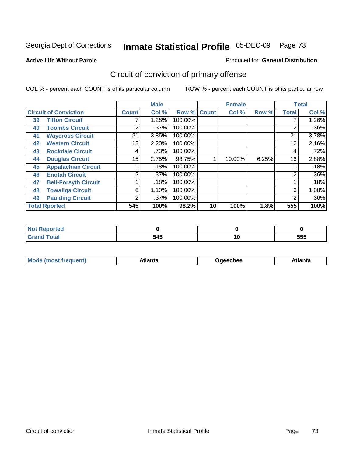**Active Life Without Parole** 

#### Produced for **General Distribution**

# Circuit of conviction of primary offense

|    |                              |              | <b>Male</b> |         |              | <b>Female</b> |       |              | <b>Total</b> |
|----|------------------------------|--------------|-------------|---------|--------------|---------------|-------|--------------|--------------|
|    | <b>Circuit of Conviction</b> | <b>Count</b> | Col %       | Row %   | <b>Count</b> | Col %         | Row % | <b>Total</b> | Col %        |
| 39 | <b>Tifton Circuit</b>        |              | 1.28%       | 100.00% |              |               |       |              | $1.26\%$     |
| 40 | <b>Toombs Circuit</b>        | ◠            | $.37\%$     | 100.00% |              |               |       | 2            | $.36\%$      |
| 41 | <b>Waycross Circuit</b>      | 21           | 3.85%       | 100.00% |              |               |       | 21           | 3.78%        |
| 42 | <b>Western Circuit</b>       | 12           | 2.20%       | 100.00% |              |               |       | 12           | 2.16%        |
| 43 | <b>Rockdale Circuit</b>      | 4            | .73%        | 100.00% |              |               |       | 4            | .72%         |
| 44 | <b>Douglas Circuit</b>       | 15           | 2.75%       | 93.75%  |              | 10.00%        | 6.25% | 16           | 2.88%        |
| 45 | <b>Appalachian Circuit</b>   |              | .18%        | 100.00% |              |               |       |              | .18%         |
| 46 | <b>Enotah Circuit</b>        | 2            | $.37\%$     | 100.00% |              |               |       | 2            | $.36\%$      |
| 47 | <b>Bell-Forsyth Circuit</b>  |              | .18%        | 100.00% |              |               |       |              | .18%         |
| 48 | <b>Towaliga Circuit</b>      | 6            | 1.10%       | 100.00% |              |               |       | 6            | 1.08%        |
| 49 | <b>Paulding Circuit</b>      | 2            | $.37\%$     | 100.00% |              |               |       | 2            | $.36\%$      |
|    | <b>Total Rported</b>         | 545          | 100%        | 98.2%   | 10           | 100%          | 1.8%  | 555          | 100%         |

| ported                |     |    |            |
|-----------------------|-----|----|------------|
| <b>cotal</b><br>_____ | 545 | יי | ---<br>ວວວ |

|  | M | *****<br>⊡alilu | chee | .<br>''ILC |
|--|---|-----------------|------|------------|
|--|---|-----------------|------|------------|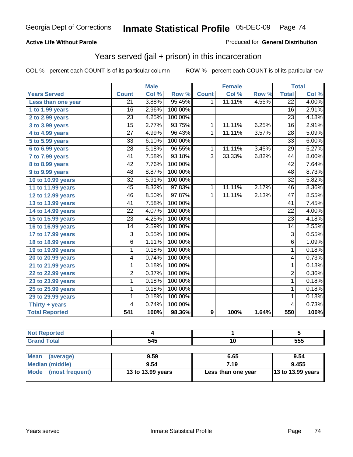### **Active Life Without Parole**

#### Produced for **General Distribution**

# Years served (jail + prison) in this incarceration

|                       |                 | <b>Male</b> |         |                | <b>Female</b> |       |                 | <b>Total</b> |
|-----------------------|-----------------|-------------|---------|----------------|---------------|-------|-----------------|--------------|
| <b>Years Served</b>   | <b>Count</b>    | Col %       | Row %   | <b>Count</b>   | Col %         | Row % | <b>Total</b>    | Col %        |
| Less than one year    | $\overline{21}$ | 3.88%       | 95.45%  | 1              | 11.11%        | 4.55% | $\overline{22}$ | 4.00%        |
| $1$ to 1.99 years     | 16              | 2.96%       | 100.00% |                |               |       | 16              | 2.91%        |
| $2$ to 2.99 years     | $\overline{23}$ | 4.25%       | 100.00% |                |               |       | $\overline{23}$ | 4.18%        |
| 3 to 3.99 years       | $\overline{15}$ | 2.77%       | 93.75%  | $\mathbf{1}$   | 11.11%        | 6.25% | $\overline{16}$ | 2.91%        |
| 4 to 4.99 years       | $\overline{27}$ | 4.99%       | 96.43%  | $\mathbf{1}$   | 11.11%        | 3.57% | $\overline{28}$ | 5.09%        |
| 5 to 5.99 years       | $\overline{33}$ | 6.10%       | 100.00% |                |               |       | $\overline{33}$ | 6.00%        |
| 6 to 6.99 years       | $\overline{28}$ | 5.18%       | 96.55%  | $\mathbf{1}$   | 11.11%        | 3.45% | $\overline{29}$ | 5.27%        |
| 7 to 7.99 years       | $\overline{41}$ | 7.58%       | 93.18%  | $\overline{3}$ | 33.33%        | 6.82% | 44              | 8.00%        |
| 8 to 8.99 years       | $\overline{42}$ | 7.76%       | 100.00% |                |               |       | $\overline{42}$ | 7.64%        |
| 9 to 9.99 years       | $\overline{48}$ | 8.87%       | 100.00% |                |               |       | 48              | 8.73%        |
| 10 to 10.99 years     | $\overline{32}$ | 5.91%       | 100.00% |                |               |       | $\overline{32}$ | 5.82%        |
| 11 to 11.99 years     | 45              | 8.32%       | 97.83%  | 1              | 11.11%        | 2.17% | 46              | 8.36%        |
| 12 to 12.99 years     | 46              | 8.50%       | 97.87%  | $\overline{1}$ | 11.11%        | 2.13% | $\overline{47}$ | 8.55%        |
| 13 to 13.99 years     | 41              | 7.58%       | 100.00% |                |               |       | 41              | 7.45%        |
| 14 to 14.99 years     | $\overline{22}$ | 4.07%       | 100.00% |                |               |       | $\overline{22}$ | 4.00%        |
| 15 to 15.99 years     | $\overline{23}$ | 4.25%       | 100.00% |                |               |       | $\overline{23}$ | 4.18%        |
| 16 to 16.99 years     | 14              | 2.59%       | 100.00% |                |               |       | 14              | 2.55%        |
| 17 to 17.99 years     | $\overline{3}$  | 0.55%       | 100.00% |                |               |       | $\overline{3}$  | 0.55%        |
| 18 to 18.99 years     | $\overline{6}$  | 1.11%       | 100.00% |                |               |       | $\overline{6}$  | 1.09%        |
| 19 to 19.99 years     | 1               | 0.18%       | 100.00% |                |               |       | 1               | 0.18%        |
| 20 to 20.99 years     | 4               | 0.74%       | 100.00% |                |               |       | 4               | 0.73%        |
| 21 to 21.99 years     | 1               | 0.18%       | 100.00% |                |               |       | 1               | 0.18%        |
| 22 to 22.99 years     | $\overline{2}$  | 0.37%       | 100.00% |                |               |       | $\overline{2}$  | 0.36%        |
| 23 to 23.99 years     | 1               | 0.18%       | 100.00% |                |               |       | 1               | 0.18%        |
| 25 to 25.99 years     | 1               | 0.18%       | 100.00% |                |               |       | $\overline{1}$  | 0.18%        |
| 29 to 29.99 years     | 1               | 0.18%       | 100.00% |                |               |       | 1               | 0.18%        |
| Thirty $+$ years      | 4               | 0.74%       | 100.00% |                |               |       | $\overline{4}$  | 0.73%        |
| <b>Total Reported</b> | 541             | 100%        | 98.36%  | 9              | 100%          | 1.64% | 550             | 100%         |

| чес.<br>. |     |     |     |
|-----------|-----|-----|-----|
|           | 545 | . . | 555 |

| <b>Mean</b><br>(average)       | 9.59              | 6.65               | 9.54                |
|--------------------------------|-------------------|--------------------|---------------------|
| Median (middle)                | 9.54              | 7.19               | 9.455               |
| <b>Mode</b><br>(most frequent) | 13 to 13.99 years | Less than one year | $13$ to 13.99 years |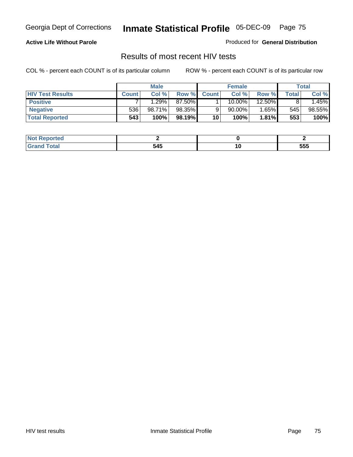### **Active Life Without Parole**

Produced for **General Distribution**

# Results of most recent HIV tests

|                         |              | <b>Male</b> |         |              | <b>Female</b> |          |       | Total   |
|-------------------------|--------------|-------------|---------|--------------|---------------|----------|-------|---------|
| <b>HIV Test Results</b> | <b>Count</b> | Col %       | Row %   | <b>Count</b> | Col %         | Row %    | Total | Col %   |
| <b>Positive</b>         |              | $1.29\%$    | 87.50%  |              | 10.00%        | 12.50%   |       | $.45\%$ |
| <b>Negative</b>         | 536'         | 98.71%      | 98.35%  |              | $90.00\%$ ,   | $1.65\%$ | 545   | 98.55%  |
| <b>Total Reported</b>   | 543          | 100%        | 98.19%I | 10           | 100%          | $1.81\%$ | 553   | 100%    |

| <b>Not Reported</b> |     |     |
|---------------------|-----|-----|
| <b>Grand Total</b>  | 545 | 555 |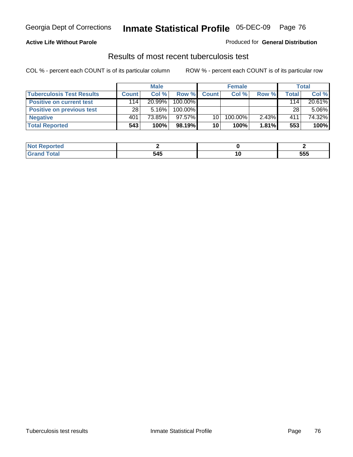## Georgia Dept of Corrections **Inmate Statistical Profile** 05-DEC-09 Page 76

#### **Active Life Without Parole**

#### Produced for **General Distribution**

### Results of most recent tuberculosis test

COL % - percent each COUNT is of its particular column ROW % - percent each COUNT is of its particular row

|                                  | <b>Male</b>  |           |           | <b>Female</b> |         |          | Total |          |
|----------------------------------|--------------|-----------|-----------|---------------|---------|----------|-------|----------|
| <b>Tuberculosis Test Results</b> | <b>Count</b> | Col%      | Row %     | <b>Count</b>  | Col%    | Row %    | Total | Col %    |
| <b>Positive on current test</b>  | 114          | $20.99\%$ | 100.00%   |               |         |          | 114   | 20.61%   |
| <b>Positive on previous test</b> | 28           | $5.16\%$  | 100.00%   |               |         |          | 28    | $5.06\%$ |
| <b>Negative</b>                  | 401          | 73.85%    | $97.57\%$ | 10            | 100.00% | 2.43%    | 411   | 74.32%   |
| <b>Total Reported</b>            | 543          | 100%      | 98.19%I   | 10            | 100%    | $1.81\%$ | 553   | 100%     |

| Reported    |     |    |     |
|-------------|-----|----|-----|
| <b>otal</b> | 545 | ΊU | 555 |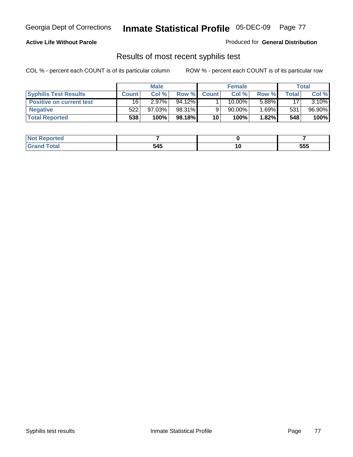# Georgia Dept of Corrections **Inmate Statistical Profile** 05-DEC-09 Page 77

### **Active Life Without Parole**

Produced for **General Distribution**

### Results of most recent syphilis test

COL % - percent each COUNT is of its particular column ROW % - percent each COUNT is of its particular row

|                                 | <b>Male</b>  |           |        | <b>Female</b> |           |            | Total  |        |
|---------------------------------|--------------|-----------|--------|---------------|-----------|------------|--------|--------|
| <b>Syphilis Test Results</b>    | <b>Count</b> | Col %     | Row %  | <b>Count</b>  | Col %     | Row %      | Total. | Col %  |
| <b>Positive on current test</b> | 16           | $2.97\%$  | 94.12% |               | $10.00\%$ | 5.88%      | 17     | 3.10%  |
| <b>Negative</b>                 | 522          | $97.03\%$ | 98.31% |               | 90.00%    | $1.69\%$ M | 531    | 96.90% |
| <b>Total Reported</b>           | 538          | 100%      | 98.18% | 10            | 100%      | 1.82%      | 548    | 100%   |

| <b>Not Reported</b> |     |                          |     |
|---------------------|-----|--------------------------|-----|
| <b>Total</b>        | 545 | $\overline{\phantom{a}}$ | 555 |